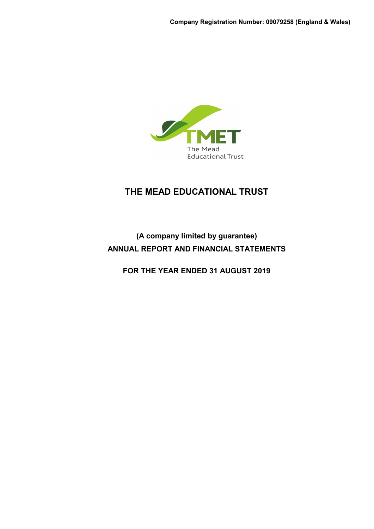

# **(A company limited by guarantee) ANNUAL REPORT AND FINANCIAL STATEMENTS**

**FOR THE YEAR ENDED 31 AUGUST 2019**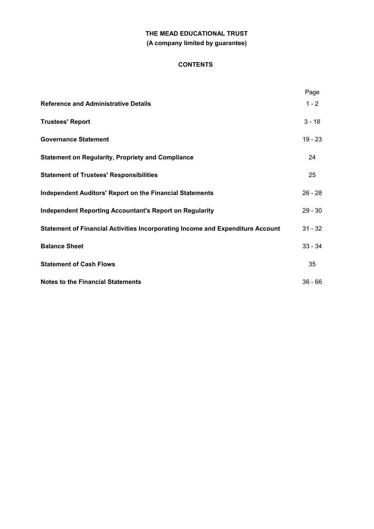### **CONTENTS**

|                                                                                | Page      |
|--------------------------------------------------------------------------------|-----------|
| <b>Reference and Administrative Details</b>                                    | $1 - 2$   |
| <b>Trustees' Report</b>                                                        | $3 - 18$  |
| <b>Governance Statement</b>                                                    | $19 - 23$ |
| <b>Statement on Regularity, Propriety and Compliance</b>                       | 24        |
| <b>Statement of Trustees' Responsibilities</b>                                 | 25        |
| <b>Independent Auditors' Report on the Financial Statements</b>                | $26 - 28$ |
| <b>Independent Reporting Accountant's Report on Regularity</b>                 | $29 - 30$ |
| Statement of Financial Activities Incorporating Income and Expenditure Account | $31 - 32$ |
| <b>Balance Sheet</b>                                                           | $33 - 34$ |
| <b>Statement of Cash Flows</b>                                                 | 35        |
| <b>Notes to the Financial Statements</b>                                       | $36 - 66$ |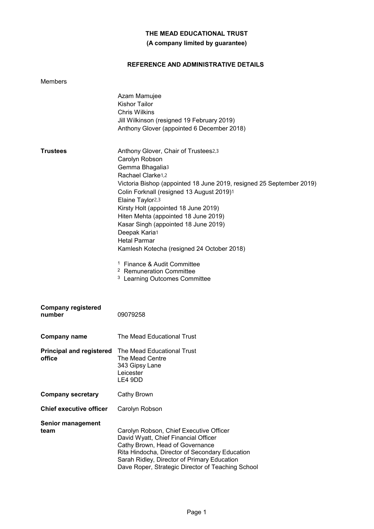# **(A company limited by guarantee)**

# **REFERENCE AND ADMINISTRATIVE DETAILS**

| <b>Members</b>                      |                                                                                                                                                                                                                                                                                                                                                                                                                                                                                                                                                                                                            |
|-------------------------------------|------------------------------------------------------------------------------------------------------------------------------------------------------------------------------------------------------------------------------------------------------------------------------------------------------------------------------------------------------------------------------------------------------------------------------------------------------------------------------------------------------------------------------------------------------------------------------------------------------------|
|                                     | Azam Mamujee<br><b>Kishor Tailor</b><br><b>Chris Wilkins</b><br>Jill Wilkinson (resigned 19 February 2019)<br>Anthony Glover (appointed 6 December 2018)                                                                                                                                                                                                                                                                                                                                                                                                                                                   |
| <b>Trustees</b>                     | Anthony Glover, Chair of Trustees2,3<br>Carolyn Robson<br>Gemma Bhagalia3<br>Rachael Clarke <sub>1,2</sub><br>Victoria Bishop (appointed 18 June 2019, resigned 25 September 2019)<br>Colin Forknall (resigned 13 August 2019)1<br>Elaine Taylor <sub>2,3</sub><br>Kirsty Holt (appointed 18 June 2019)<br>Hiten Mehta (appointed 18 June 2019)<br>Kasar Singh (appointed 18 June 2019)<br>Deepak Karia1<br><b>Hetal Parmar</b><br>Kamlesh Kotecha (resigned 24 October 2018)<br><sup>1</sup> Finance & Audit Committee<br><sup>2</sup> Remuneration Committee<br><sup>3</sup> Learning Outcomes Committee |
| <b>Company registered</b><br>number | 09079258                                                                                                                                                                                                                                                                                                                                                                                                                                                                                                                                                                                                   |
| <b>Company name</b>                 | The Mead Educational Trust                                                                                                                                                                                                                                                                                                                                                                                                                                                                                                                                                                                 |
| office                              | <b>Principal and registered</b> The Mead Educational Trust<br>The Mead Centre<br>343 Gipsy Lane<br>Leicester<br>LE4 9DD                                                                                                                                                                                                                                                                                                                                                                                                                                                                                    |
| <b>Company secretary</b>            | Cathy Brown                                                                                                                                                                                                                                                                                                                                                                                                                                                                                                                                                                                                |
| <b>Chief executive officer</b>      | Carolyn Robson                                                                                                                                                                                                                                                                                                                                                                                                                                                                                                                                                                                             |
| <b>Senior management</b><br>team    | Carolyn Robson, Chief Executive Officer<br>David Wyatt, Chief Financial Officer<br>Cathy Brown, Head of Governance<br>Rita Hindocha, Director of Secondary Education<br>Sarah Ridley, Director of Primary Education<br>Dave Roper, Strategic Director of Teaching School                                                                                                                                                                                                                                                                                                                                   |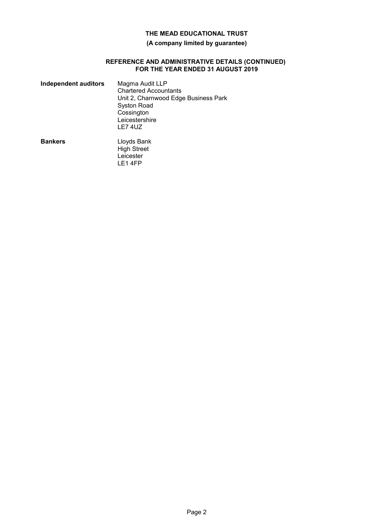### **(A company limited by guarantee)**

#### **REFERENCE AND ADMINISTRATIVE DETAILS (CONTINUED) FOR THE YEAR ENDED 31 AUGUST 2019**

| <b>Independent auditors</b> | Magma Audit LLP<br><b>Chartered Accountants</b><br>Unit 2, Charnwood Edge Business Park<br><b>Syston Road</b><br>Cossington<br>Leicestershire<br>LE74UZ |
|-----------------------------|---------------------------------------------------------------------------------------------------------------------------------------------------------|
| <b>Bankers</b>              | Lloyds Bank<br><b>High Street</b><br>Leicester<br>LE1 4FP                                                                                               |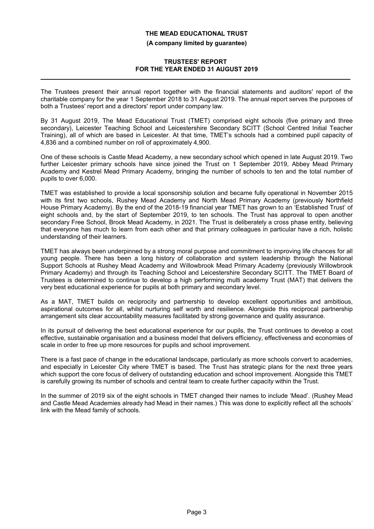### **TRUSTEES' REPORT FOR THE YEAR ENDED 31 AUGUST 2019**

The Trustees present their annual report together with the financial statements and auditors' report of the charitable company for the year 1 September 2018 to 31 August 2019. The annual report serves the purposes of both a Trustees' report and a directors' report under company law.

By 31 August 2019, The Mead Educational Trust (TMET) comprised eight schools (five primary and three secondary), Leicester Teaching School and Leicestershire Secondary SCITT (School Centred Initial Teacher Training), all of which are based in Leicester. At that time, TMET's schools had a combined pupil capacity of 4,836 and a combined number on roll of approximately 4,900.

One of these schools is Castle Mead Academy, a new secondary school which opened in late August 2019. Two further Leicester primary schools have since joined the Trust on 1 September 2019, Abbey Mead Primary Academy and Kestrel Mead Primary Academy, bringing the number of schools to ten and the total number of pupils to over 6,000.

TMET was established to provide a local sponsorship solution and became fully operational in November 2015 with its first two schools, Rushey Mead Academy and North Mead Primary Academy (previously Northfield House Primary Academy). By the end of the 2018-19 financial year TMET has grown to an 'Established Trust' of eight schools and, by the start of September 2019, to ten schools. The Trust has approval to open another secondary Free School, Brook Mead Academy, in 2021. The Trust is deliberately a cross phase entity, believing that everyone has much to learn from each other and that primary colleagues in particular have a rich, holistic understanding of their learners.

TMET has always been underpinned by a strong moral purpose and commitment to improving life chances for all young people. There has been a long history of collaboration and system leadership through the National Support Schools at Rushey Mead Academy and Willowbrook Mead Primary Academy (previously Willowbrook Primary Academy) and through its Teaching School and Leicestershire Secondary SCITT. The TMET Board of Trustees is determined to continue to develop a high performing multi academy Trust (MAT) that delivers the very best educational experience for pupils at both primary and secondary level.

As a MAT, TMET builds on reciprocity and partnership to develop excellent opportunities and ambitious, aspirational outcomes for all, whilst nurturing self worth and resilience. Alongside this reciprocal partnership arrangement sits clear accountability measures facilitated by strong governance and quality assurance.

In its pursuit of delivering the best educational experience for our pupils, the Trust continues to develop a cost effective, sustainable organisation and a business model that delivers efficiency, effectiveness and economies of scale in order to free up more resources for pupils and school improvement.

There is a fast pace of change in the educational landscape, particularly as more schools convert to academies, and especially in Leicester City where TMET is based. The Trust has strategic plans for the next three years which support the core focus of delivery of outstanding education and school improvement. Alongside this TMET is carefully growing its number of schools and central team to create further capacity within the Trust.

In the summer of 2019 six of the eight schools in TMET changed their names to include 'Mead'. (Rushey Mead and Castle Mead Academies already had Mead in their names.) This was done to explicitly reflect all the schools' link with the Mead family of schools.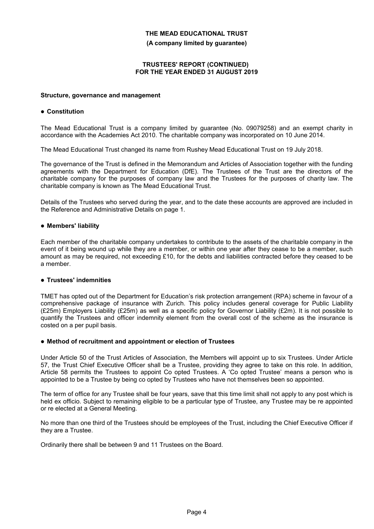#### **(A company limited by guarantee)**

#### **TRUSTEES' REPORT (CONTINUED) FOR THE YEAR ENDED 31 AUGUST 2019**

#### **Structure, governance and management**

#### **Constitution**

The Mead Educational Trust is a company limited by guarantee (No. 09079258) and an exempt charity in accordance with the Academies Act 2010. The charitable company was incorporated on 10 June 2014.

The Mead Educational Trust changed its name from Rushey Mead Educational Trust on 19 July 2018.

The governance of the Trust is defined in the Memorandum and Articles of Association together with the funding agreements with the Department for Education (DfE). The Trustees of the Trust are the directors of the charitable company for the purposes of company law and the Trustees for the purposes of charity law. The charitable company is known as The Mead Educational Trust.

Details of the Trustees who served during the year, and to the date these accounts are approved are included in the Reference and Administrative Details on page 1.

#### **Members' liability**

Each member of the charitable company undertakes to contribute to the assets of the charitable company in the event of it being wound up while they are a member, or within one year after they cease to be a member, such amount as may be required, not exceeding £10, for the debts and liabilities contracted before they ceased to be a member.

### **Trustees' indemnities**

TMET has opted out of the Department for Education's risk protection arrangement (RPA) scheme in favour of a comprehensive package of insurance with Zurich. This policy includes general coverage for Public Liability (£25m) Employers Liability (£25m) as well as a specific policy for Governor Liability (£2m). It is not possible to quantify the Trustees and officer indemnity element from the overall cost of the scheme as the insurance is costed on a per pupil basis.

#### **Method of recruitment and appointment or election of Trustees**

Under Article 50 of the Trust Articles of Association, the Members will appoint up to six Trustees. Under Article 57, the Trust Chief Executive Officer shall be a Trustee, providing they agree to take on this role. In addition, Article 58 permits the Trustees to appoint Co opted Trustees. A 'Co opted Trustee' means a person who is appointed to be a Trustee by being co opted by Trustees who have not themselves been so appointed.

The term of office for any Trustee shall be four years, save that this time limit shall not apply to any post which is held ex officio. Subject to remaining eligible to be a particular type of Trustee, any Trustee may be re appointed or re elected at a General Meeting.

No more than one third of the Trustees should be employees of the Trust, including the Chief Executive Officer if they are a Trustee.

Ordinarily there shall be between 9 and 11 Trustees on the Board.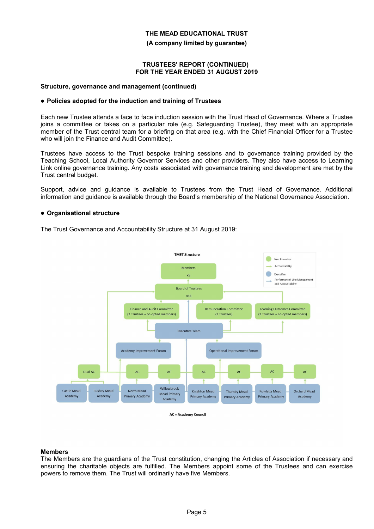**(A company limited by guarantee)**

#### **TRUSTEES' REPORT (CONTINUED) FOR THE YEAR ENDED 31 AUGUST 2019**

#### **Structure, governance and management (continued)**

### **Policies adopted for the induction and training of Trustees**

Each new Trustee attends a face to face induction session with the Trust Head of Governance. Where a Trustee joins a committee or takes on a particular role (e.g. Safeguarding Trustee), they meet with an appropriate member of the Trust central team for a briefing on that area (e.g. with the Chief Financial Officer for a Trustee who will join the Finance and Audit Committee).

Trustees have access to the Trust bespoke training sessions and to governance training provided by the Teaching School, Local Authority Governor Services and other providers. They also have access to Learning Link online governance training. Any costs associated with governance training and development are met by the Trust central budget.

Support, advice and guidance is available to Trustees from the Trust Head of Governance. Additional information and guidance is available through the Board's membership of the National Governance Association.

#### **Organisational structure**

The Trust Governance and Accountability Structure at 31 August 2019:



**AC** = Academy Council

#### **Members**

The Members are the guardians of the Trust constitution, changing the Articles of Association if necessary and ensuring the charitable objects are fulfilled. The Members appoint some of the Trustees and can exercise powers to remove them. The Trust will ordinarily have five Members.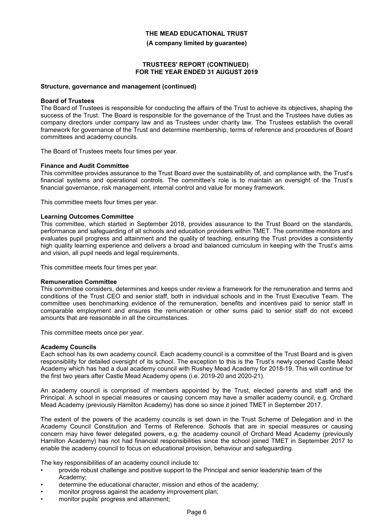**(A company limited by guarantee)**

#### **TRUSTEES' REPORT (CONTINUED) FOR THE YEAR ENDED 31 AUGUST 2019**

#### **Structure, governance and management (continued)**

#### **Board of Trustees**

The Board of Trustees is responsible for conducting the affairs of the Trust to achieve its objectives, shaping the success of the Trust. The Board is responsible for the governance of the Trust and the Trustees have duties as company directors under company law and as Trustees under charity law. The Trustees establish the overall framework for governance of the Trust and determine membership, terms of reference and procedures of Board committees and academy councils.

The Board of Trustees meets four times per year.

#### **Finance and Audit Committee**

This committee provides assurance to the Trust Board over the sustainability of, and compliance with, the Trust's financial systems and operational controls. The committee's role is to maintain an oversight of the Trust's financial governance, risk management, internal control and value for money framework.

This committee meets four times per year.

#### **Learning Outcomes Committee**

This committee, which started in September 2018, provides assurance to the Trust Board on the standards, performance and safeguarding of all schools and education providers within TMET. The committee monitors and evaluates pupil progress and attainment and the quality of teaching, ensuring the Trust provides a consistently high quality learning experience and delivers a broad and balanced curriculum in keeping with the Trust's aims and vision, all pupil needs and legal requirements.

This committee meets four times per year.

#### **Remuneration Committee**

This committee considers, determines and keeps under review a framework for the remuneration and terms and conditions of the Trust CEO and senior staff, both in individual schools and in the Trust Executive Team. The committee uses benchmarking evidence of the remuneration, benefits and incentives paid to senior staff in comparable employment and ensures the remuneration or other sums paid to senior staff do not exceed amounts that are reasonable in all the circumstances.

This committee meets once per year.

#### **Academy Councils**

Each school has its own academy council. Each academy council is a committee of the Trust Board and is given responsibility for detailed oversight of its school. The exception to this is the Trust's newly opened Castle Mead Academy which has had a dual academy council with Rushey Mead Academy for 2018-19. This will continue for the first two years after Castle Mead Academy opens (i.e. 2019-20 and 2020-21).

An academy council is comprised of members appointed by the Trust, elected parents and staff and the Principal. A school in special measures or causing concern may have a smaller academy council, e.g. Orchard Mead Academy (previously Hamilton Academy) has done so since it joined TMET in September 2017.

The extent of the powers of the academy councils is set down in the Trust Scheme of Delegation and in the Academy Council Constitution and Terms of Reference. Schools that are in special measures or causing concern may have fewer delegated powers, e.g. the academy council of Orchard Mead Academy (previously Hamilton Academy) has not had financial responsibilities since the school joined TMET in September 2017 to enable the academy council to focus on educational provision, behaviour and safeguarding.

The key responsibilities of an academy council include to:

- provide robust challenge and positive support to the Principal and senior leadership team of the Academy;
- determine the educational character, mission and ethos of the academy;
- monitor progress against the academy improvement plan;
- monitor pupils' progress and attainment;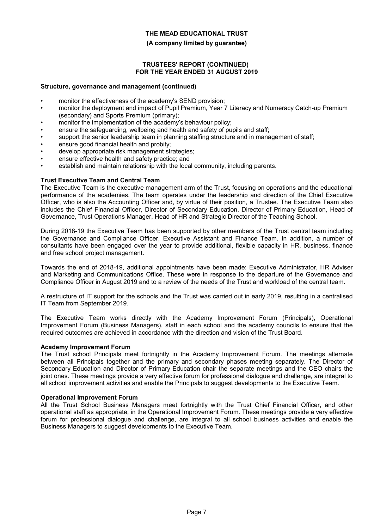#### **(A company limited by guarantee)**

#### **TRUSTEES' REPORT (CONTINUED) FOR THE YEAR ENDED 31 AUGUST 2019**

#### **Structure, governance and management (continued)**

- monitor the effectiveness of the academy's SEND provision:
- monitor the deployment and impact of Pupil Premium, Year 7 Literacy and Numeracy Catch-up Premium (secondary) and Sports Premium (primary);
- monitor the implementation of the academy's behaviour policy;
- ensure the safeguarding, wellbeing and health and safety of pupils and staff;
- support the senior leadership team in planning staffing structure and in management of staff;
- ensure good financial health and probity;
- develop appropriate risk management strategies;
- ensure effective health and safety practice; and
- establish and maintain relationship with the local community, including parents.

#### **Trust Executive Team and Central Team**

The Executive Team is the executive management arm of the Trust, focusing on operations and the educational performance of the academies. The team operates under the leadership and direction of the Chief Executive Officer, who is also the Accounting Officer and, by virtue of their position, a Trustee. The Executive Team also includes the Chief Financial Officer, Director of Secondary Education, Director of Primary Education, Head of Governance, Trust Operations Manager, Head of HR and Strategic Director of the Teaching School.

During 2018-19 the Executive Team has been supported by other members of the Trust central team including the Governance and Compliance Officer, Executive Assistant and Finance Team. In addition, a number of consultants have been engaged over the year to provide additional, flexible capacity in HR, business, finance and free school project management.

Towards the end of 2018-19, additional appointments have been made: Executive Administrator, HR Adviser and Marketing and Communications Office. These were in response to the departure of the Governance and Compliance Officer in August 2019 and to a review of the needs of the Trust and workload of the central team.

A restructure of IT support for the schools and the Trust was carried out in early 2019, resulting in a centralised IT Team from September 2019.

The Executive Team works directly with the Academy Improvement Forum (Principals), Operational Improvement Forum (Business Managers), staff in each school and the academy councils to ensure that the required outcomes are achieved in accordance with the direction and vision of the Trust Board.

#### **Academy Improvement Forum**

The Trust school Principals meet fortnightly in the Academy Improvement Forum. The meetings alternate between all Principals together and the primary and secondary phases meeting separately. The Director of Secondary Education and Director of Primary Education chair the separate meetings and the CEO chairs the joint ones. These meetings provide a very effective forum for professional dialogue and challenge, are integral to all school improvement activities and enable the Principals to suggest developments to the Executive Team.

#### **Operational Improvement Forum**

All the Trust School Business Managers meet fortnightly with the Trust Chief Financial Officer, and other operational staff as appropriate, in the Operational Improvement Forum. These meetings provide a very effective forum for professional dialogue and challenge, are integral to all school business activities and enable the Business Managers to suggest developments to the Executive Team.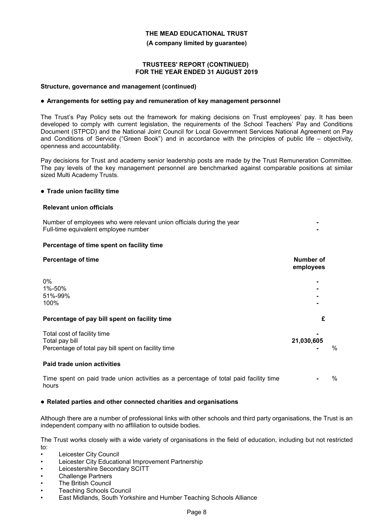**(A company limited by guarantee)**

#### **TRUSTEES' REPORT (CONTINUED) FOR THE YEAR ENDED 31 AUGUST 2019**

#### **Structure, governance and management (continued)**

#### **Arrangements for setting pay and remuneration of key management personnel**

The Trust's Pay Policy sets out the framework for making decisions on Trust employees' pay. It has been developed to comply with current legislation, the requirements of the School Teachers' Pay and Conditions Document (STPCD) and the National Joint Council for Local Government Services National Agreement on Pay and Conditions of Service ("Green Book") and in accordance with the principles of public life – objectivity, openness and accountability.

Pay decisions for Trust and academy senior leadership posts are made by the Trust Remuneration Committee. The pay levels of the key management personnel are benchmarked against comparable positions at similar sized Multi Academy Trusts.

#### **Trade union facility time**

#### **Relevant union officials**

Number of employees who were relevant union officials during the year **-** Full-time equivalent employee number **-**

#### **Percentage of time spent on facility time**

| <b>Percentage of time</b>                                                                            | <b>Number of</b><br>employees    |      |
|------------------------------------------------------------------------------------------------------|----------------------------------|------|
| 0%<br>1%-50%<br>51%-99%<br>100%                                                                      | $\blacksquare$<br>$\blacksquare$ |      |
| Percentage of pay bill spent on facility time                                                        | £                                |      |
| Total cost of facility time<br>Total pay bill<br>Percentage of total pay bill spent on facility time | 21,030,605                       | $\%$ |
| Paid trade union activities                                                                          |                                  |      |
|                                                                                                      |                                  |      |

Time spent on paid trade union activities as a percentage of total paid facility time hours **-** %

#### **Related parties and other connected charities and organisations**

Although there are a number of professional links with other schools and third party organisations, the Trust is an independent company with no affiliation to outside bodies.

The Trust works closely with a wide variety of organisations in the field of education, including but not restricted to:

- Leicester City Council
- Leicester City Educational Improvement Partnership
- Leicestershire Secondary SCITT
- **Challenge Partners**
- **The British Council**
- Teaching Schools Council
- East Midlands, South Yorkshire and Humber Teaching Schools Alliance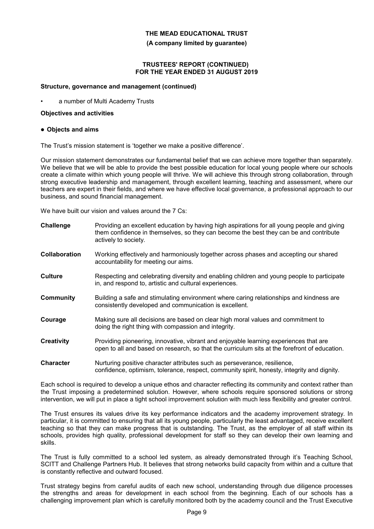#### **(A company limited by guarantee)**

#### **TRUSTEES' REPORT (CONTINUED) FOR THE YEAR ENDED 31 AUGUST 2019**

#### **Structure, governance and management (continued)**

a number of Multi Academy Trusts

#### **Objectives and activities**

#### **Objects and aims**

The Trust's mission statement is 'together we make a positive difference'.

Our mission statement demonstrates our fundamental belief that we can achieve more together than separately. We believe that we will be able to provide the best possible education for local young people where our schools create a climate within which young people will thrive. We will achieve this through strong collaboration, through strong executive leadership and management, through excellent learning, teaching and assessment, where our teachers are expert in their fields, and where we have effective local governance, a professional approach to our business, and sound financial management.

We have built our vision and values around the 7 Cs:

| Challenge            | Providing an excellent education by having high aspirations for all young people and giving<br>them confidence in themselves, so they can become the best they can be and contribute<br>actively to society. |
|----------------------|--------------------------------------------------------------------------------------------------------------------------------------------------------------------------------------------------------------|
| <b>Collaboration</b> | Working effectively and harmoniously together across phases and accepting our shared<br>accountability for meeting our aims.                                                                                 |
| <b>Culture</b>       | Respecting and celebrating diversity and enabling children and young people to participate<br>in, and respond to, artistic and cultural experiences.                                                         |
| Community            | Building a safe and stimulating environment where caring relationships and kindness are<br>consistently developed and communication is excellent.                                                            |
| Courage              | Making sure all decisions are based on clear high moral values and commitment to<br>doing the right thing with compassion and integrity.                                                                     |
| <b>Creativity</b>    | Providing pioneering, innovative, vibrant and enjoyable learning experiences that are<br>open to all and based on research, so that the curriculum sits at the forefront of education.                       |
| <b>Character</b>     | Nurturing positive character attributes such as perseverance, resilience,<br>confidence, optimism, tolerance, respect, community spirit, honesty, integrity and dignity.                                     |

Each school is required to develop a unique ethos and character reflecting its community and context rather than the Trust imposing a predetermined solution. However, where schools require sponsored solutions or strong intervention, we will put in place a tight school improvement solution with much less flexibility and greater control.

The Trust ensures its values drive its key performance indicators and the academy improvement strategy. In particular, it is committed to ensuring that all its young people, particularly the least advantaged, receive excellent teaching so that they can make progress that is outstanding. The Trust, as the employer of all staff within its schools, provides high quality, professional development for staff so they can develop their own learning and skills.

The Trust is fully committed to a school led system, as already demonstrated through it's Teaching School, SCITT and Challenge Partners Hub. It believes that strong networks build capacity from within and a culture that is constantly reflective and outward focused.

Trust strategy begins from careful audits of each new school, understanding through due diligence processes the strengths and areas for development in each school from the beginning. Each of our schools has a challenging improvement plan which is carefully monitored both by the academy council and the Trust Executive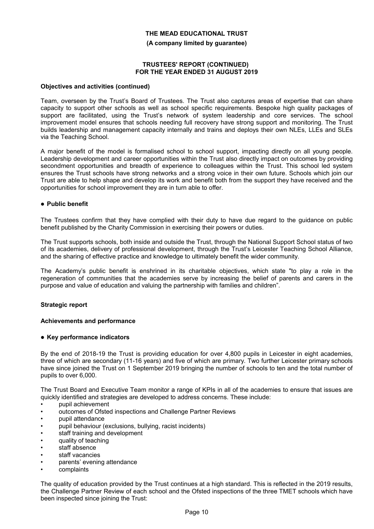**(A company limited by guarantee)**

#### **TRUSTEES' REPORT (CONTINUED) FOR THE YEAR ENDED 31 AUGUST 2019**

#### **Objectives and activities (continued)**

Team, overseen by the Trust's Board of Trustees. The Trust also captures areas of expertise that can share capacity to support other schools as well as school specific requirements. Bespoke high quality packages of support are facilitated, using the Trust's network of system leadership and core services. The school improvement model ensures that schools needing full recovery have strong support and monitoring. The Trust builds leadership and management capacity internally and trains and deploys their own NLEs, LLEs and SLEs via the Teaching School.

A major benefit of the model is formalised school to school support, impacting directly on all young people. Leadership development and career opportunities within the Trust also directly impact on outcomes by providing secondment opportunities and breadth of experience to colleagues within the Trust. This school led system ensures the Trust schools have strong networks and a strong voice in their own future. Schools which join our Trust are able to help shape and develop its work and benefit both from the support they have received and the opportunities for school improvement they are in turn able to offer.

#### **Public benefit**

The Trustees confirm that they have complied with their duty to have due regard to the guidance on public benefit published by the Charity Commission in exercising their powers or duties.

The Trust supports schools, both inside and outside the Trust, through the National Support School status of two of its academies, delivery of professional development, through the Trust's Leicester Teaching School Alliance, and the sharing of effective practice and knowledge to ultimately benefit the wider community.

The Academy's public benefit is enshrined in its charitable objectives, which state "to play a role in the regeneration of communities that the academies serve by increasing the belief of parents and carers in the purpose and value of education and valuing the partnership with families and children".

#### **Strategic report**

#### **Achievements and performance**

#### **Key performance indicators**

By the end of 2018-19 the Trust is providing education for over 4,800 pupils in Leicester in eight academies, three of which are secondary (11-16 years) and five of which are primary. Two further Leicester primary schools have since joined the Trust on 1 September 2019 bringing the number of schools to ten and the total number of pupils to over 6,000.

The Trust Board and Executive Team monitor a range of KPIs in all of the academies to ensure that issues are quickly identified and strategies are developed to address concerns. These include:

- pupil achievement
- outcomes of Ofsted inspections and Challenge Partner Reviews
- pupil attendance
- pupil behaviour (exclusions, bullying, racist incidents)
- staff training and development
- quality of teaching
- staff absence
- staff vacancies
- parents' evening attendance
- complaints

The quality of education provided by the Trust continues at a high standard. This is reflected in the 2019 results, the Challenge Partner Review of each school and the Ofsted inspections of the three TMET schools which have been inspected since joining the Trust: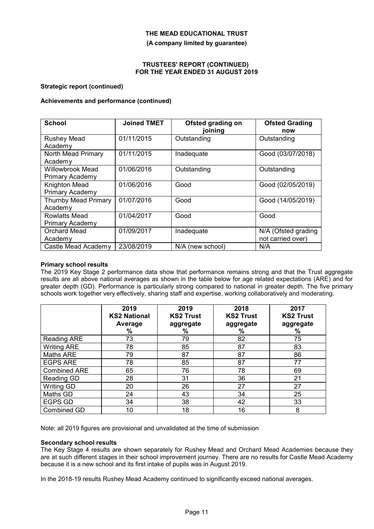**(A company limited by guarantee)**

#### **TRUSTEES' REPORT (CONTINUED) FOR THE YEAR ENDED 31 AUGUST 2019**

#### **Strategic report (continued)**

### **Achievements and performance (continued)**

| <b>School</b>                              | <b>Joined TMET</b> | Ofsted grading on<br>joining | <b>Ofsted Grading</b><br>now             |
|--------------------------------------------|--------------------|------------------------------|------------------------------------------|
| <b>Rushey Mead</b><br>Academy              | 01/11/2015         | Outstanding                  | Outstanding                              |
| North Mead Primary<br>Academy              | 01/11/2015         | Inadequate                   | Good (03/07/2018)                        |
| <b>Willowbrook Mead</b><br>Primary Academy | 01/06/2016         | Outstanding                  | Outstanding                              |
| Knighton Mead<br>Primary Academy           | 01/06/2016         | Good                         | Good (02/05/2019)                        |
| <b>Thurnby Mead Primary</b><br>Academy     | 01/07/2016         | Good                         | Good (14/05/2019)                        |
| <b>Rowlatts Mead</b><br>Primary Academy    | 01/04/2017         | Good                         | Good                                     |
| <b>Orchard Mead</b><br>Academy             | 01/09/2017         | Inadequate                   | N/A (Ofsted grading<br>not carried over) |
| Castle Mead Academy                        | 23/08/2019         | N/A (new school)             | N/A                                      |

#### **Primary school results**

The 2019 Key Stage 2 performance data show that performance remains strong and that the Trust aggregate results are all above national averages as shown in the table below for age related expectations (ARE) and for greater depth (GD). Performance is particularly strong compared to national in greater depth. The five primary schools work together very effectively, sharing staff and expertise, working collaboratively and moderating.

|                     | 2019<br><b>KS2 National</b><br>Average<br>% | 2019<br><b>KS2 Trust</b><br>aggregate<br>% | 2018<br><b>KS2 Trust</b><br>aggregate<br>% | 2017<br><b>KS2 Trust</b><br>aggregate<br>% |
|---------------------|---------------------------------------------|--------------------------------------------|--------------------------------------------|--------------------------------------------|
| Reading ARE         | 73                                          | 79                                         | 82                                         | 75                                         |
| <b>Writing ARE</b>  | 78                                          | 85                                         | 87                                         | 83                                         |
| Maths ARE           | 79                                          | 87                                         | 87                                         | 86                                         |
| <b>EGPS ARE</b>     | 78                                          | 85                                         | 87                                         | 77                                         |
| <b>Combined ARE</b> | 65                                          | 76                                         | 78                                         | 69                                         |
| Reading GD          | 28                                          | 31                                         | 36                                         | 21                                         |
| Writing GD          | 20                                          | 26                                         | 27                                         | 27                                         |
| Maths GD            | 24                                          | 43                                         | 34                                         | 25                                         |
| EGPS GD             | 34                                          | 38                                         | 42                                         | 33                                         |
| Combined GD         | 10                                          | 18                                         | 16                                         | 8                                          |

Note: all 2019 figures are provisional and unvalidated at the time of submission

#### **Secondary school results**

The Key Stage 4 results are shown separately for Rushey Mead and Orchard Mead Academies because they are at such different stages in their school improvement journey. There are no results for Castle Mead Academy because it is a new school and its first intake of pupils was in August 2019.

In the 2018-19 results Rushey Mead Academy continued to significantly exceed national averages.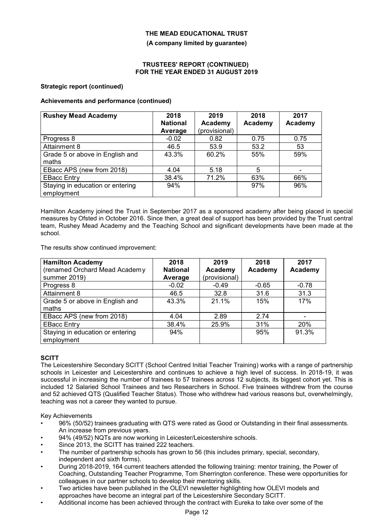**(A company limited by guarantee)**

#### **TRUSTEES' REPORT (CONTINUED) FOR THE YEAR ENDED 31 AUGUST 2019**

#### **Strategic report (continued)**

### **Achievements and performance (continued)**

| <b>Rushey Mead Academy</b>                     | 2018            | 2019          | 2018    | 2017    |
|------------------------------------------------|-----------------|---------------|---------|---------|
|                                                | <b>National</b> | Academy       | Academy | Academy |
|                                                | Average         | (provisional) |         |         |
| Progress 8                                     | $-0.02$         | 0.82          | 0.75    | 0.75    |
| Attainment 8                                   | 46.5            | 53.9          | 53.2    | 53      |
| Grade 5 or above in English and                | 43.3%           | 60.2%         | 55%     | 59%     |
| maths                                          |                 |               |         |         |
| EBacc APS (new from 2018)                      | 4.04            | 5.18          | 5       |         |
| <b>EBacc Entry</b>                             | 38.4%           | 71.2%         | 63%     | 66%     |
| Staying in education or entering<br>employment | 94%             |               | 97%     | 96%     |

Hamilton Academy joined the Trust in September 2017 as a sponsored academy after being placed in special measures by Ofsted in October 2016. Since then, a great deal of support has been provided by the Trust central team, Rushey Mead Academy and the Teaching School and significant developments have been made at the school.

The results show continued improvement:

| <b>Hamilton Academy</b>          | 2018            | 2019          | 2018           | 2017           |
|----------------------------------|-----------------|---------------|----------------|----------------|
| (renamed Orchard Mead Academy    | <b>National</b> | Academy       | <b>Academy</b> | <b>Academy</b> |
| summer 2019)                     | Average         | (provisional) |                |                |
| Progress 8                       | $-0.02$         | $-0.49$       | $-0.65$        | $-0.78$        |
| Attainment 8                     | 46.5            | 32.8          | 31.6           | 31.3           |
| Grade 5 or above in English and  | 43.3%           | 21.1%         | 15%            | 17%            |
| maths                            |                 |               |                |                |
| EBacc APS (new from 2018)        | 4.04            | 2.89          | 2.74           |                |
| <b>EBacc Entry</b>               | 38.4%           | 25.9%         | 31%            | 20%            |
| Staying in education or entering | 94%             |               | 95%            | 91.3%          |
| employment                       |                 |               |                |                |

### **SCITT**

The Leicestershire Secondary SCITT (School Centred Initial Teacher Training) works with a range of partnership schools in Leicester and Leicestershire and continues to achieve a high level of success. In 2018-19, it was successful in increasing the number of trainees to 57 trainees across 12 subjects, its biggest cohort yet. This is included 12 Salaried School Trainees and two Researchers in School. Five trainees withdrew from the course and 52 achieved QTS (Qualified Teacher Status). Those who withdrew had various reasons but, overwhelmingly, teaching was not a career they wanted to pursue.

Key Achievements

- 96% (50/52) trainees graduating with QTS were rated as Good or Outstanding in their final assessments. An increase from previous years.
- 94% (49/52) NQTs are now working in Leicester/Leicestershire schools.
- Since 2013, the SCITT has trained 222 teachers.
- The number of partnership schools has grown to 56 (this includes primary, special, secondary, independent and sixth forms).
- During 2018-2019, 164 current teachers attended the following training: mentor training, the Power of Coaching, Outstanding Teacher Programme, Tom Sherrington conference. These were opportunities for colleagues in our partner schools to develop their mentoring skills.
- Two articles have been published in the OLEVI newsletter highlighting how OLEVI models and approaches have become an integral part of the Leicestershire Secondary SCITT.
- Additional income has been achieved through the contract with Eureka to take over some of the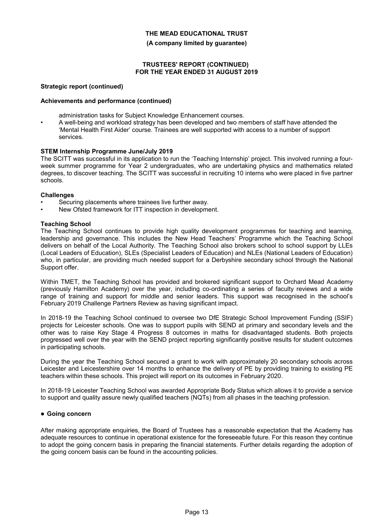#### **(A company limited by guarantee)**

#### **TRUSTEES' REPORT (CONTINUED) FOR THE YEAR ENDED 31 AUGUST 2019**

#### **Strategic report (continued)**

#### **Achievements and performance (continued)**

- administration tasks for Subject Knowledge Enhancement courses.
- A well-being and workload strategy has been developed and two members of staff have attended the 'Mental Health First Aider' course. Trainees are well supported with access to a number of support services.

#### **STEM Internship Programme June/July 2019**

The SCITT was successful in its application to run the 'Teaching Internship' project. This involved running a fourweek summer programme for Year 2 undergraduates, who are undertaking physics and mathematics related degrees, to discover teaching. The SCITT was successful in recruiting 10 interns who were placed in five partner schools.

#### **Challenges**

- Securing placements where trainees live further away.
- New Ofsted framework for ITT inspection in development.

#### **Teaching School**

The Teaching School continues to provide high quality development programmes for teaching and learning, leadership and governance. This includes the New Head Teachers' Programme which the Teaching School delivers on behalf of the Local Authority. The Teaching School also brokers school to school support by LLEs (Local Leaders of Education), SLEs (Specialist Leaders of Education) and NLEs (National Leaders of Education) who, in particular, are providing much needed support for a Derbyshire secondary school through the National Support offer.

Within TMET, the Teaching School has provided and brokered significant support to Orchard Mead Academy (previously Hamilton Academy) over the year, including co-ordinating a series of faculty reviews and a wide range of training and support for middle and senior leaders. This support was recognised in the school's February 2019 Challenge Partners Review as having significant impact.

In 2018-19 the Teaching School continued to oversee two DfE Strategic School Improvement Funding (SSIF) projects for Leicester schools. One was to support pupils with SEND at primary and secondary levels and the other was to raise Key Stage 4 Progress 8 outcomes in maths for disadvantaged students. Both projects progressed well over the year with the SEND project reporting significantly positive results for student outcomes in participating schools.

During the year the Teaching School secured a grant to work with approximately 20 secondary schools across Leicester and Leicestershire over 14 months to enhance the delivery of PE by providing training to existing PE teachers within these schools. This project will report on its outcomes in February 2020.

In 2018-19 Leicester Teaching School was awarded Appropriate Body Status which allows it to provide a service to support and quality assure newly qualified teachers (NQTs) from all phases in the teaching profession.

#### **Going concern**

After making appropriate enquiries, the Board of Trustees has a reasonable expectation that the Academy has adequate resources to continue in operational existence for the foreseeable future. For this reason they continue to adopt the going concern basis in preparing the financial statements. Further details regarding the adoption of the going concern basis can be found in the accounting policies.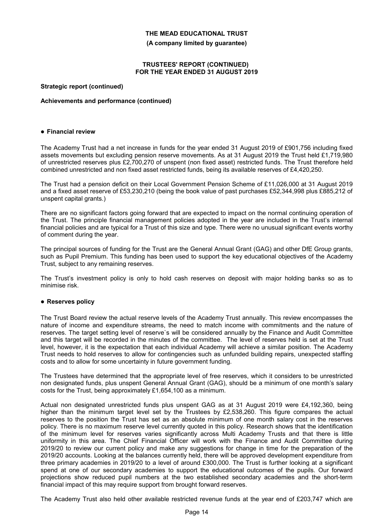**(A company limited by guarantee)**

#### **TRUSTEES' REPORT (CONTINUED) FOR THE YEAR ENDED 31 AUGUST 2019**

#### **Strategic report (continued)**

#### **Achievements and performance (continued)**

#### **Financial review**

The Academy Trust had a net increase in funds for the year ended 31 August 2019 of £901,756 including fixed assets movements but excluding pension reserve movements. As at 31 August 2019 the Trust held £1,719,980 of unrestricted reserves plus £2,700,270 of unspent (non fixed asset) restricted funds. The Trust therefore held combined unrestricted and non fixed asset restricted funds, being its available reserves of £4,420,250.

The Trust had a pension deficit on their Local Government Pension Scheme of £11,026,000 at 31 August 2019 and a fixed asset reserve of £53,230,210 (being the book value of past purchases £52,344,998 plus £885,212 of unspent capital grants.)

There are no significant factors going forward that are expected to impact on the normal continuing operation of the Trust. The principle financial management policies adopted in the year are included in the Trust's internal financial policies and are typical for a Trust of this size and type. There were no unusual significant events worthy of comment during the year.

The principal sources of funding for the Trust are the General Annual Grant (GAG) and other DfE Group grants, such as Pupil Premium. This funding has been used to support the key educational objectives of the Academy Trust, subject to any remaining reserves.

The Trust's investment policy is only to hold cash reserves on deposit with major holding banks so as to minimise risk.

### **Reserves policy**

The Trust Board review the actual reserve levels of the Academy Trust annually. This review encompasses the nature of income and expenditure streams, the need to match income with commitments and the nature of reserves. The target setting level of reserve`s will be considered annually by the Finance and Audit Committee and this target will be recorded in the minutes of the committee. The level of reserves held is set at the Trust level, however, it is the expectation that each individual Academy will achieve a similar position. The Academy Trust needs to hold reserves to allow for contingencies such as unfunded building repairs, unexpected staffing costs and to allow for some uncertainty in future government funding.

The Trustees have determined that the appropriate level of free reserves, which it considers to be unrestricted non designated funds, plus unspent General Annual Grant (GAG), should be a minimum of one month's salary costs for the Trust, being approximately £1,654,100 as a minimum.

Actual non designated unrestricted funds plus unspent GAG as at 31 August 2019 were £4,192,360, being higher than the minimum target level set by the Trustees by £2,538,260. This figure compares the actual reserves to the position the Trust has set as an absolute minimum of one month salary cost in the reserves policy. There is no maximum reserve level currently quoted in this policy. Research shows that the identification of the minimum level for reserves varies significantly across Multi Academy Trusts and that there is little uniformity in this area. The Chief Financial Officer will work with the Finance and Audit Committee during 2019/20 to review our current policy and make any suggestions for change in time for the preparation of the 2019/20 accounts. Looking at the balances currently held, there will be approved development expenditure from three primary academies in 2019/20 to a level of around £300,000. The Trust is further looking at a significant spend at one of our secondary academies to support the educational outcomes of the pupils. Our forward projections show reduced pupil numbers at the two established secondary academies and the short-term financial impact of this may require support from brought forward reserves.

The Academy Trust also held other available restricted revenue funds at the year end of £203,747 which are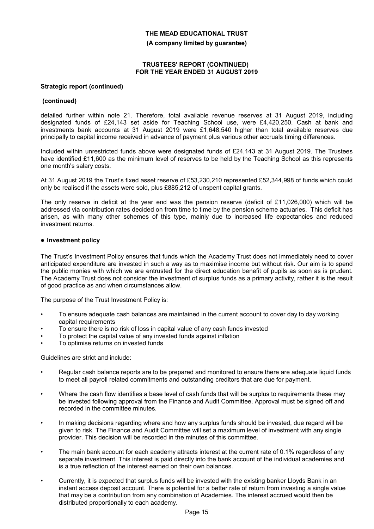**(A company limited by guarantee)**

#### **TRUSTEES' REPORT (CONTINUED) FOR THE YEAR ENDED 31 AUGUST 2019**

#### **Strategic report (continued)**

#### **(continued)**

detailed further within note 21. Therefore, total available revenue reserves at 31 August 2019, including designated funds of £24,143 set aside for Teaching School use, were £4,420,250. Cash at bank and investments bank accounts at 31 August 2019 were £1,648,540 higher than total available reserves due principally to capital income received in advance of payment plus various other accruals timing differences.

Included within unrestricted funds above were designated funds of £24,143 at 31 August 2019. The Trustees have identified £11,600 as the minimum level of reserves to be held by the Teaching School as this represents one month's salary costs.

At 31 August 2019 the Trust's fixed asset reserve of £53,230,210 represented £52,344,998 of funds which could only be realised if the assets were sold, plus £885,212 of unspent capital grants.

The only reserve in deficit at the year end was the pension reserve (deficit of £11,026,000) which will be addressed via contribution rates decided on from time to time by the pension scheme actuaries. This deficit has arisen, as with many other schemes of this type, mainly due to increased life expectancies and reduced investment returns.

#### **Investment policy**

The Trust's Investment Policy ensures that funds which the Academy Trust does not immediately need to cover anticipated expenditure are invested in such a way as to maximise income but without risk. Our aim is to spend the public monies with which we are entrusted for the direct education benefit of pupils as soon as is prudent. The Academy Trust does not consider the investment of surplus funds as a primary activity, rather it is the result of good practice as and when circumstances allow.

The purpose of the Trust Investment Policy is:

- To ensure adequate cash balances are maintained in the current account to cover day to day working capital requirements
- To ensure there is no risk of loss in capital value of any cash funds invested
- To protect the capital value of any invested funds against inflation
- To optimise returns on invested funds

Guidelines are strict and include:

- Regular cash balance reports are to be prepared and monitored to ensure there are adequate liquid funds to meet all payroll related commitments and outstanding creditors that are due for payment.
- Where the cash flow identifies a base level of cash funds that will be surplus to requirements these may be invested following approval from the Finance and Audit Committee. Approval must be signed off and recorded in the committee minutes.
- In making decisions regarding where and how any surplus funds should be invested, due regard will be given to risk. The Finance and Audit Committee will set a maximum level of investment with any single provider. This decision will be recorded in the minutes of this committee.
- The main bank account for each academy attracts interest at the current rate of 0.1% regardless of any separate investment. This interest is paid directly into the bank account of the individual academies and is a true reflection of the interest earned on their own balances.
- Currently, it is expected that surplus funds will be invested with the existing banker Lloyds Bank in an instant access deposit account. There is potential for a better rate of return from investing a single value that may be a contribution from any combination of Academies. The interest accrued would then be distributed proportionally to each academy.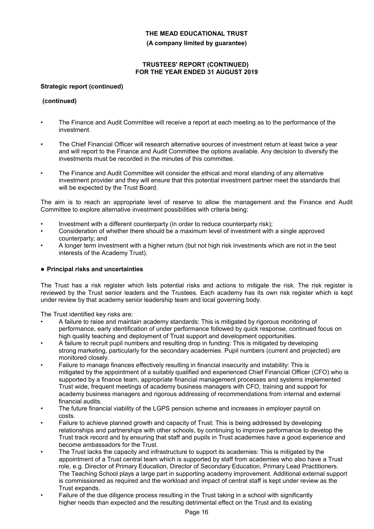**(A company limited by guarantee)**

### **TRUSTEES' REPORT (CONTINUED) FOR THE YEAR ENDED 31 AUGUST 2019**

### **Strategic report (continued)**

### **(continued)**

- The Finance and Audit Committee will receive a report at each meeting as to the performance of the investment.
- The Chief Financial Officer will research alternative sources of investment return at least twice a year and will report to the Finance and Audit Committee the options available. Any decision to diversify the investments must be recorded in the minutes of this committee.
- The Finance and Audit Committee will consider the ethical and moral standing of any alternative investment provider and they will ensure that this potential investment partner meet the standards that will be expected by the Trust Board.

The aim is to reach an appropriate level of reserve to allow the management and the Finance and Audit Committee to explore alternative investment possibilities with criteria being:

- Investment with a different counterparty (in order to reduce counterparty risk);
- Consideration of whether there should be a maximum level of investment with a single approved counterparty; and
- A longer term investment with a higher return (but not high risk investments which are not in the best interests of the Academy Trust).

### **Principal risks and uncertainties**

The Trust has a risk register which lists potential risks and actions to mitigate the risk. The risk register is reviewed by the Trust senior leaders and the Trustees. Each academy has its own risk register which is kept under review by that academy senior leadership team and local governing body.

The Trust identified key risks are:

- A failure to raise and maintain academy standards: This is mitigated by rigorous monitoring of performance, early identification of under performance followed by quick response, continued focus on high quality teaching and deployment of Trust support and development opportunities.
- A failure to recruit pupil numbers and resulting drop in funding: This is mitigated by developing strong marketing, particularly for the secondary academies. Pupil numbers (current and projected) are monitored closely.
- Failure to manage finances effectively resulting in financial insecurity and instability: This is mitigated by the appointment of a suitably qualified and experienced Chief Financial Officer (CFO) who is supported by a finance team, appropriate financial management processes and systems implemented Trust wide, frequent meetings of academy business managers with CFO, training and support for academy business managers and rigorous addressing of recommendations from internal and external financial audits.
- The future financial viability of the LGPS pension scheme and increases in employer payroll on costs.
- Failure to achieve planned growth and capacity of Trust: This is being addressed by developing relationships and partnerships with other schools, by continuing to improve performance to develop the Trust track record and by ensuring that staff and pupils in Trust academies have a good experience and become ambassadors for the Trust.
- The Trust lacks the capacity and infrastructure to support its academies: This is mitigated by the appointment of a Trust central team which is supported by staff from academies who also have a Trust role, e.g. Director of Primary Education, Director of Secondary Education, Primary Lead Practitioners. The Teaching School plays a large part in supporting academy improvement. Additional external support is commissioned as required and the workload and impact of central staff is kept under review as the Trust expands.
- Failure of the due diligence process resulting in the Trust taking in a school with significantly higher needs than expected and the resulting detrimental effect on the Trust and its existing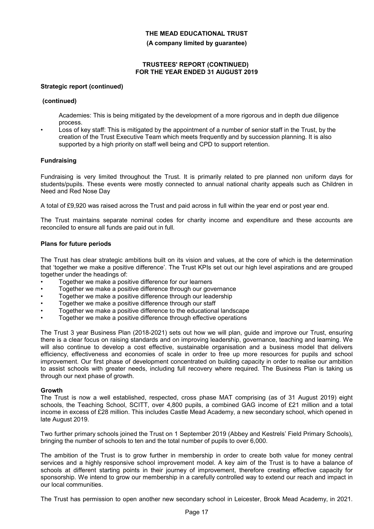**(A company limited by guarantee)**

#### **TRUSTEES' REPORT (CONTINUED) FOR THE YEAR ENDED 31 AUGUST 2019**

#### **Strategic report (continued)**

#### **(continued)**

Academies: This is being mitigated by the development of a more rigorous and in depth due diligence process.

Loss of key staff: This is mitigated by the appointment of a number of senior staff in the Trust, by the creation of the Trust Executive Team which meets frequently and by succession planning. It is also supported by a high priority on staff well being and CPD to support retention.

### **Fundraising**

Fundraising is very limited throughout the Trust. It is primarily related to pre planned non uniform days for students/pupils. These events were mostly connected to annual national charity appeals such as Children in Need and Red Nose Day

A total of £9,920 was raised across the Trust and paid across in full within the year end or post year end.

The Trust maintains separate nominal codes for charity income and expenditure and these accounts are reconciled to ensure all funds are paid out in full.

#### **Plans for future periods**

The Trust has clear strategic ambitions built on its vision and values, at the core of which is the determination that 'together we make a positive difference'. The Trust KPIs set out our high level aspirations and are grouped together under the headings of:

- Together we make a positive difference for our learners
- Together we make a positive difference through our governance
- Together we make a positive difference through our leadership
- Together we make a positive difference through our staff
- Together we make a positive difference to the educational landscape
- Together we make a positive difference through effective operations

The Trust 3 year Business Plan (2018-2021) sets out how we will plan, guide and improve our Trust, ensuring there is a clear focus on raising standards and on improving leadership, governance, teaching and learning. We will also continue to develop a cost effective, sustainable organisation and a business model that delivers efficiency, effectiveness and economies of scale in order to free up more resources for pupils and school improvement. Our first phase of development concentrated on building capacity in order to realise our ambition to assist schools with greater needs, including full recovery where required. The Business Plan is taking us through our next phase of growth.

#### **Growth**

The Trust is now a well established, respected, cross phase MAT comprising (as of 31 August 2019) eight schools, the Teaching School, SCITT, over 4,800 pupils, a combined GAG income of £21 million and a total income in excess of £28 million. This includes Castle Mead Academy, a new secondary school, which opened in late August 2019.

Two further primary schools joined the Trust on 1 September 2019 (Abbey and Kestrels' Field Primary Schools), bringing the number of schools to ten and the total number of pupils to over 6,000.

The ambition of the Trust is to grow further in membership in order to create both value for money central services and a highly responsive school improvement model. A key aim of the Trust is to have a balance of schools at different starting points in their journey of improvement, therefore creating effective capacity for sponsorship. We intend to grow our membership in a carefully controlled way to extend our reach and impact in our local communities.

The Trust has permission to open another new secondary school in Leicester, Brook Mead Academy, in 2021.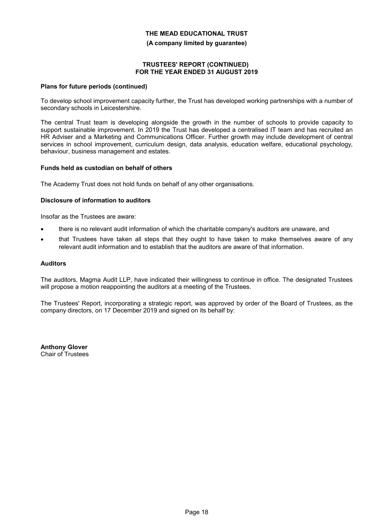**(A company limited by guarantee)**

#### **TRUSTEES' REPORT (CONTINUED) FOR THE YEAR ENDED 31 AUGUST 2019**

#### **Plans for future periods (continued)**

To develop school improvement capacity further, the Trust has developed working partnerships with a number of secondary schools in Leicestershire.

The central Trust team is developing alongside the growth in the number of schools to provide capacity to support sustainable improvement. In 2019 the Trust has developed a centralised IT team and has recruited an HR Adviser and a Marketing and Communications Officer. Further growth may include development of central services in school improvement, curriculum design, data analysis, education welfare, educational psychology, behaviour, business management and estates.

#### **Funds held as custodian on behalf of others**

The Academy Trust does not hold funds on behalf of any other organisations.

### **Disclosure of information to auditors**

Insofar as the Trustees are aware:

- there is no relevant audit information of which the charitable company's auditors are unaware, and
- that Trustees have taken all steps that they ought to have taken to make themselves aware of any relevant audit information and to establish that the auditors are aware of that information.

#### **Auditors**

The auditors, Magma Audit LLP, have indicated their willingness to continue in office. The designated Trustees will propose a motion reappointing the auditors at a meeting of the Trustees.

The Trustees' Report, incorporating a strategic report, was approved by order of the Board of Trustees, as the company directors, on 17 December 2019 and signed on its behalf by:

**Anthony Glover** Chair of Trustees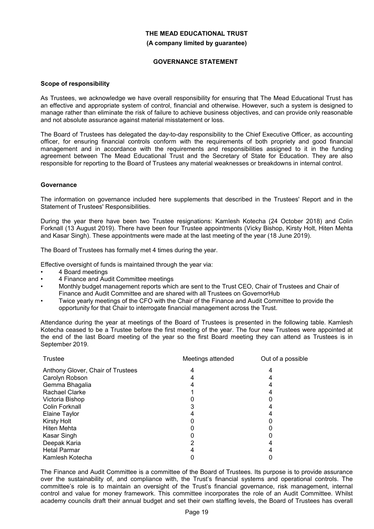#### **GOVERNANCE STATEMENT**

#### **Scope of responsibility**

As Trustees, we acknowledge we have overall responsibility for ensuring that The Mead Educational Trust has an effective and appropriate system of control, financial and otherwise. However, such a system is designed to manage rather than eliminate the risk of failure to achieve business objectives, and can provide only reasonable and not absolute assurance against material misstatement or loss.

The Board of Trustees has delegated the day-to-day responsibility to the Chief Executive Officer, as accounting officer, for ensuring financial controls conform with the requirements of both propriety and good financial management and in accordance with the requirements and responsibilities assigned to it in the funding agreement between The Mead Educational Trust and the Secretary of State for Education. They are also responsible for reporting to the Board of Trustees any material weaknesses or breakdowns in internal control.

#### **Governance**

The information on governance included here supplements that described in the Trustees' Report and in the Statement of Trustees' Responsibilities.

During the year there have been two Trustee resignations: Kamlesh Kotecha (24 October 2018) and Colin Forknall (13 August 2019). There have been four Trustee appointments (Vicky Bishop, Kirsty Holt, Hiten Mehta and Kasar Singh). These appointments were made at the last meeting of the year (18 June 2019).

The Board of Trustees has formally met 4 times during the year.

Effective oversight of funds is maintained through the year via:

- 4 Board meetings
- 4 Finance and Audit Committee meetings
- Monthly budget management reports which are sent to the Trust CEO, Chair of Trustees and Chair of Finance and Audit Committee and are shared with all Trustees on GovernorHub
- Twice yearly meetings of the CFO with the Chair of the Finance and Audit Committee to provide the opportunity for that Chair to interrogate financial management across the Trust.

Attendance during the year at meetings of the Board of Trustees is presented in the following table. Kamlesh Kotecha ceased to be a Trustee before the first meeting of the year. The four new Trustees were appointed at the end of the last Board meeting of the year so the first Board meeting they can attend as Trustees is in September 2019.

| Trustee                           | Meetings attended | Out of a possible |
|-----------------------------------|-------------------|-------------------|
| Anthony Glover, Chair of Trustees |                   |                   |
| Carolyn Robson                    |                   |                   |
| Gemma Bhagalia                    |                   |                   |
| <b>Rachael Clarke</b>             |                   |                   |
| Victoria Bishop                   |                   |                   |
| <b>Colin Forknall</b>             |                   |                   |
| <b>Elaine Taylor</b>              |                   |                   |
| <b>Kirsty Holt</b>                |                   |                   |
| <b>Hiten Mehta</b>                |                   |                   |
| Kasar Singh                       |                   |                   |
| Deepak Karia                      |                   |                   |
| <b>Hetal Parmar</b>               |                   |                   |
| Kamlesh Kotecha                   |                   |                   |

The Finance and Audit Committee is a committee of the Board of Trustees. Its purpose is to provide assurance over the sustainability of, and compliance with, the Trust's financial systems and operational controls. The committee's role is to maintain an oversight of the Trust's financial governance, risk management, internal control and value for money framework. This committee incorporates the role of an Audit Committee. Whilst academy councils draft their annual budget and set their own staffing levels, the Board of Trustees has overall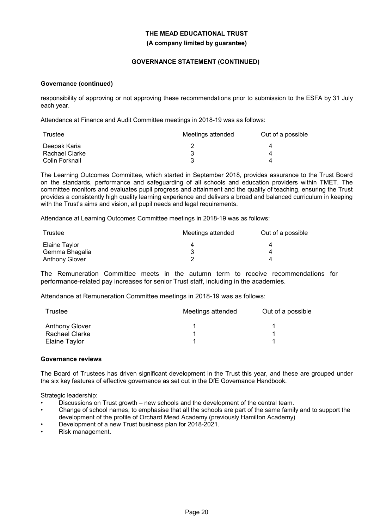### **GOVERNANCE STATEMENT (CONTINUED)**

#### **Governance (continued)**

responsibility of approving or not approving these recommendations prior to submission to the ESFA by 31 July each year.

Attendance at Finance and Audit Committee meetings in 2018-19 was as follows:

| Trustee        | Meetings attended | Out of a possible |
|----------------|-------------------|-------------------|
| Deepak Karia   |                   |                   |
| Rachael Clarke |                   |                   |
| Colin Forknall |                   |                   |

The Learning Outcomes Committee, which started in September 2018, provides assurance to the Trust Board on the standards, performance and safeguarding of all schools and education providers within TMET. The committee monitors and evaluates pupil progress and attainment and the quality of teaching, ensuring the Trust provides a consistently high quality learning experience and delivers a broad and balanced curriculum in keeping with the Trust's aims and vision, all pupil needs and legal requirements.

Attendance at Learning Outcomes Committee meetings in 2018-19 was as follows:

| Trustee               | Meetings attended | Out of a possible |
|-----------------------|-------------------|-------------------|
| Elaine Taylor         | 4                 |                   |
| Gemma Bhagalia        |                   |                   |
| <b>Anthony Glover</b> |                   |                   |

The Remuneration Committee meets in the autumn term to receive recommendations for performance-related pay increases for senior Trust staff, including in the academies.

Attendance at Remuneration Committee meetings in 2018-19 was as follows:

| Trustee               | Meetings attended | Out of a possible |  |  |
|-----------------------|-------------------|-------------------|--|--|
| <b>Anthony Glover</b> |                   |                   |  |  |
| Rachael Clarke        |                   |                   |  |  |
| Elaine Taylor         |                   |                   |  |  |

#### **Governance reviews**

The Board of Trustees has driven significant development in the Trust this year, and these are grouped under the six key features of effective governance as set out in the DfE Governance Handbook.

Strategic leadership:

- Discussions on Trust growth new schools and the development of the central team.
- Change of school names, to emphasise that all the schools are part of the same family and to support the development of the profile of Orchard Mead Academy (previously Hamilton Academy)
- Development of a new Trust business plan for 2018-2021.
- Risk management.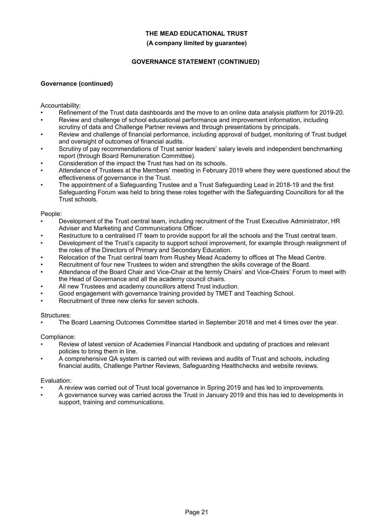#### **(A company limited by guarantee)**

### **GOVERNANCE STATEMENT (CONTINUED)**

### **Governance (continued)**

Accountability:

- Refinement of the Trust data dashboards and the move to an online data analysis platform for 2019-20.
- Review and challenge of school educational performance and improvement information, including scrutiny of data and Challenge Partner reviews and through presentations by principals.
- Review and challenge of financial performance, including approval of budget, monitoring of Trust budget and oversight of outcomes of financial audits.
- Scrutiny of pay recommendations of Trust senior leaders' salary levels and independent benchmarking report (through Board Remuneration Committee).
- Consideration of the impact the Trust has had on its schools.
- Attendance of Trustees at the Members' meeting in February 2019 where they were questioned about the effectiveness of governance in the Trust.
- The appointment of a Safeguarding Trustee and a Trust Safeguarding Lead in 2018-19 and the first Safeguarding Forum was held to bring these roles together with the Safeguarding Councillors for all the Trust schools.

#### People:

- Development of the Trust central team, including recruitment of the Trust Executive Administrator, HR Adviser and Marketing and Communications Officer.
- Restructure to a centralised IT team to provide support for all the schools and the Trust central team.
- Development of the Trust's capacity to support school improvement, for example through realignment of the roles of the Directors of Primary and Secondary Education.
- Relocation of the Trust central team from Rushey Mead Academy to offices at The Mead Centre.
- Recruitment of four new Trustees to widen and strengthen the skills coverage of the Board.
- Attendance of the Board Chair and Vice-Chair at the termly Chairs' and Vice-Chairs' Forum to meet with the Head of Governance and all the academy council chairs.
- All new Trustees and academy councillors attend Trust induction.
- Good engagement with governance training provided by TMET and Teaching School.
- Recruitment of three new clerks for seven schools.

#### Structures:

• The Board Learning Outcomes Committee started in September 2018 and met 4 times over the year.

### Compliance:

- Review of latest version of Academies Financial Handbook and updating of practices and relevant policies to bring them in line.
- A comprehensive QA system is carried out with reviews and audits of Trust and schools, including financial audits, Challenge Partner Reviews, Safeguarding Healthchecks and website reviews.

#### Evaluation:

- A review was carried out of Trust local governance in Spring 2019 and has led to improvements.
- A governance survey was carried across the Trust in January 2019 and this has led to developments in support, training and communications.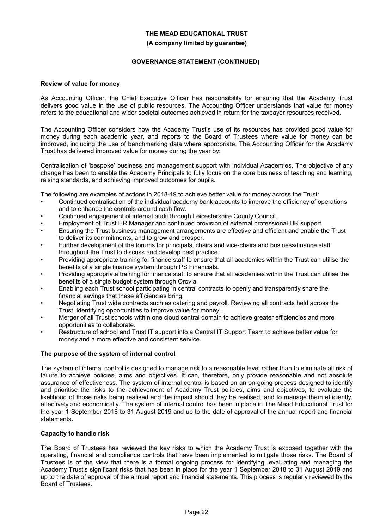### **GOVERNANCE STATEMENT (CONTINUED)**

#### **Review of value for money**

As Accounting Officer, the Chief Executive Officer has responsibility for ensuring that the Academy Trust delivers good value in the use of public resources. The Accounting Officer understands that value for money refers to the educational and wider societal outcomes achieved in return for the taxpayer resources received.

The Accounting Officer considers how the Academy Trust's use of its resources has provided good value for money during each academic year, and reports to the Board of Trustees where value for money can be improved, including the use of benchmarking data where appropriate. The Accounting Officer for the Academy Trust has delivered improved value for money during the year by:

Centralisation of 'bespoke' business and management support with individual Academies. The objective of any change has been to enable the Academy Principals to fully focus on the core business of teaching and learning, raising standards, and achieving improved outcomes for pupils.

The following are examples of actions in 2018-19 to achieve better value for money across the Trust:

- Continued centralisation of the individual academy bank accounts to improve the efficiency of operations and to enhance the controls around cash flow.
- Continued engagement of internal audit through Leicestershire County Council.
- Employment of Trust HR Manager and continued provision of external professional HR support.
- Ensuring the Trust business management arrangements are effective and efficient and enable the Trust to deliver its commitments, and to grow and prosper.
- Further development of the forums for principals, chairs and vice-chairs and business/finance staff throughout the Trust to discuss and develop best practice.
- Providing appropriate training for finance staff to ensure that all academies within the Trust can utilise the benefits of a single finance system through PS Financials.
- Providing appropriate training for finance staff to ensure that all academies within the Trust can utilise the benefits of a single budget system through Orovia.
- Enabling each Trust school participating in central contracts to openly and transparently share the financial savings that these efficiencies bring.
- Negotiating Trust wide contracts such as catering and payroll. Reviewing all contracts held across the Trust, identifying opportunities to improve value for money.
- Merger of all Trust schools within one cloud central domain to achieve greater efficiencies and more opportunities to collaborate.
- Restructure of school and Trust IT support into a Central IT Support Team to achieve better value for money and a more effective and consistent service.

### **The purpose of the system of internal control**

The system of internal control is designed to manage risk to a reasonable level rather than to eliminate all risk of failure to achieve policies, aims and objectives. It can, therefore, only provide reasonable and not absolute assurance of effectiveness. The system of internal control is based on an on-going process designed to identify and prioritise the risks to the achievement of Academy Trust policies, aims and objectives, to evaluate the likelihood of those risks being realised and the impact should they be realised, and to manage them efficiently, effectively and economically. The system of internal control has been in place in The Mead Educational Trust for the year 1 September 2018 to 31 August 2019 and up to the date of approval of the annual report and financial statements.

### **Capacity to handle risk**

The Board of Trustees has reviewed the key risks to which the Academy Trust is exposed together with the operating, financial and compliance controls that have been implemented to mitigate those risks. The Board of Trustees is of the view that there is a formal ongoing process for identifying, evaluating and managing the Academy Trust's significant risks that has been in place for the year 1 September 2018 to 31 August 2019 and up to the date of approval of the annual report and financial statements. This process is regularly reviewed by the Board of Trustees.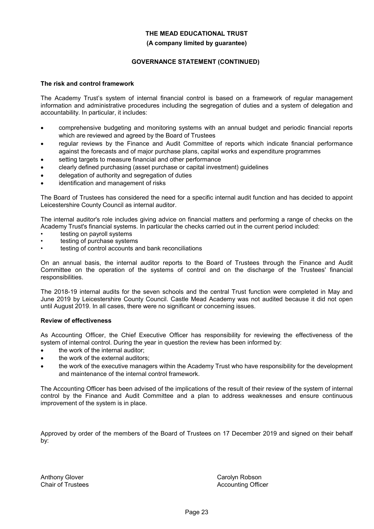### **GOVERNANCE STATEMENT (CONTINUED)**

#### **The risk and control framework**

The Academy Trust's system of internal financial control is based on a framework of regular management information and administrative procedures including the segregation of duties and a system of delegation and accountability. In particular, it includes:

- comprehensive budgeting and monitoring systems with an annual budget and periodic financial reports which are reviewed and agreed by the Board of Trustees
- regular reviews by the Finance and Audit Committee of reports which indicate financial performance against the forecasts and of major purchase plans, capital works and expenditure programmes
- setting targets to measure financial and other performance
- clearly defined purchasing (asset purchase or capital investment) guidelines
- delegation of authority and segregation of duties
- identification and management of risks

The Board of Trustees has considered the need for a specific internal audit function and has decided to appoint Leicestershire County Council as internal auditor.

The internal auditor's role includes giving advice on financial matters and performing a range of checks on the Academy Trust's financial systems. In particular the checks carried out in the current period included:

- testing on payroll systems
- testing of purchase systems
- testing of control accounts and bank reconciliations

On an annual basis, the internal auditor reports to the Board of Trustees through the Finance and Audit Committee on the operation of the systems of control and on the discharge of the Trustees' financial responsibilities.

The 2018-19 internal audits for the seven schools and the central Trust function were completed in May and June 2019 by Leicestershire County Council. Castle Mead Academy was not audited because it did not open until August 2019. In all cases, there were no significant or concerning issues.

#### **Review of effectiveness**

As Accounting Officer, the Chief Executive Officer has responsibility for reviewing the effectiveness of the system of internal control. During the year in question the review has been informed by:

- the work of the internal auditor:
- the work of the external auditors;
- the work of the executive managers within the Academy Trust who have responsibility for the development and maintenance of the internal control framework.

The Accounting Officer has been advised of the implications of the result of their review of the system of internal control by the Finance and Audit Committee and a plan to address weaknesses and ensure continuous improvement of the system is in place.

Approved by order of the members of the Board of Trustees on 17 December 2019 and signed on their behalf by:

Anthony Glover Chair of Trustees Carolyn Robson Accounting Officer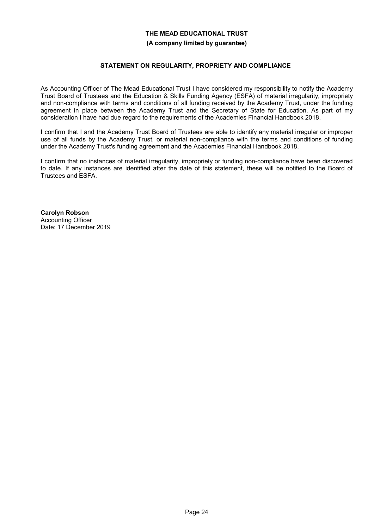### **STATEMENT ON REGULARITY, PROPRIETY AND COMPLIANCE**

As Accounting Officer of The Mead Educational Trust I have considered my responsibility to notify the Academy Trust Board of Trustees and the Education & Skills Funding Agency (ESFA) of material irregularity, impropriety and non-compliance with terms and conditions of all funding received by the Academy Trust, under the funding agreement in place between the Academy Trust and the Secretary of State for Education. As part of my consideration I have had due regard to the requirements of the Academies Financial Handbook 2018.

I confirm that I and the Academy Trust Board of Trustees are able to identify any material irregular or improper use of all funds by the Academy Trust, or material non-compliance with the terms and conditions of funding under the Academy Trust's funding agreement and the Academies Financial Handbook 2018.

I confirm that no instances of material irregularity, impropriety or funding non-compliance have been discovered to date. If any instances are identified after the date of this statement, these will be notified to the Board of Trustees and ESFA.

**Carolyn Robson** Accounting Officer Date: 17 December 2019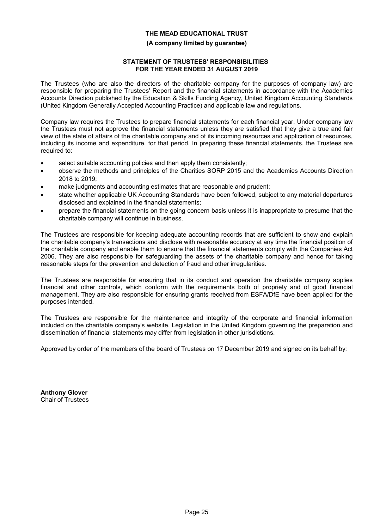#### **(A company limited by guarantee)**

### **STATEMENT OF TRUSTEES' RESPONSIBILITIES FOR THE YEAR ENDED 31 AUGUST 2019**

The Trustees (who are also the directors of the charitable company for the purposes of company law) are responsible for preparing the Trustees' Report and the financial statements in accordance with the Academies Accounts Direction published by the Education & Skills Funding Agency, United Kingdom Accounting Standards (United Kingdom Generally Accepted Accounting Practice) and applicable law and regulations.

Company law requires the Trustees to prepare financial statements for each financial year. Under company law the Trustees must not approve the financial statements unless they are satisfied that they give a true and fair view of the state of affairs of the charitable company and of its incoming resources and application of resources, including its income and expenditure, for that period. In preparing these financial statements, the Trustees are required to:

- select suitable accounting policies and then apply them consistently;
- observe the methods and principles of the Charities SORP 2015 and the Academies Accounts Direction 2018 to 2019;
- make judgments and accounting estimates that are reasonable and prudent;
- state whether applicable UK Accounting Standards have been followed, subject to any material departures disclosed and explained in the financial statements;
- prepare the financial statements on the going concern basis unless it is inappropriate to presume that the charitable company will continue in business.

The Trustees are responsible for keeping adequate accounting records that are sufficient to show and explain the charitable company's transactions and disclose with reasonable accuracy at any time the financial position of the charitable company and enable them to ensure that the financial statements comply with the Companies Act 2006. They are also responsible for safeguarding the assets of the charitable company and hence for taking reasonable steps for the prevention and detection of fraud and other irregularities.

The Trustees are responsible for ensuring that in its conduct and operation the charitable company applies financial and other controls, which conform with the requirements both of propriety and of good financial management. They are also responsible for ensuring grants received from ESFA/DfE have been applied for the purposes intended.

The Trustees are responsible for the maintenance and integrity of the corporate and financial information included on the charitable company's website. Legislation in the United Kingdom governing the preparation and dissemination of financial statements may differ from legislation in other jurisdictions.

Approved by order of the members of the board of Trustees on 17 December 2019 and signed on its behalf by:

**Anthony Glover** Chair of Trustees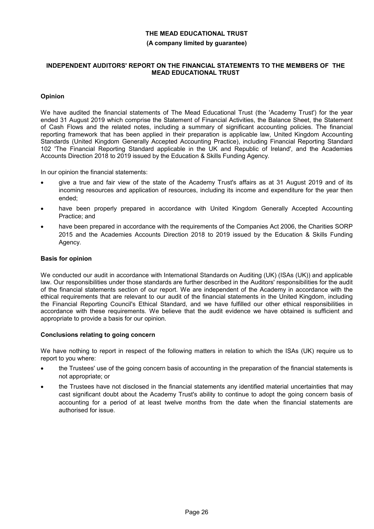#### **INDEPENDENT AUDITORS' REPORT ON THE FINANCIAL STATEMENTS TO THE MEMBERS OF THE MEAD EDUCATIONAL TRUST**

### **Opinion**

We have audited the financial statements of The Mead Educational Trust (the 'Academy Trust') for the year ended 31 August 2019 which comprise the Statement of Financial Activities, the Balance Sheet, the Statement of Cash Flows and the related notes, including a summary of significant accounting policies. The financial reporting framework that has been applied in their preparation is applicable law, United Kingdom Accounting Standards (United Kingdom Generally Accepted Accounting Practice), including Financial Reporting Standard 102 'The Financial Reporting Standard applicable in the UK and Republic of Ireland', and the Academies Accounts Direction 2018 to 2019 issued by the Education & Skills Funding Agency.

In our opinion the financial statements:

- give a true and fair view of the state of the Academy Trust's affairs as at 31 August 2019 and of its incoming resources and application of resources, including its income and expenditure for the year then ended;
- have been properly prepared in accordance with United Kingdom Generally Accepted Accounting Practice; and
- have been prepared in accordance with the requirements of the Companies Act 2006, the Charities SORP 2015 and the Academies Accounts Direction 2018 to 2019 issued by the Education & Skills Funding Agency.

#### **Basis for opinion**

We conducted our audit in accordance with International Standards on Auditing (UK) (ISAs (UK)) and applicable law. Our responsibilities under those standards are further described in the Auditors' responsibilities for the audit of the financial statements section of our report. We are independent of the Academy in accordance with the ethical requirements that are relevant to our audit of the financial statements in the United Kingdom, including the Financial Reporting Council's Ethical Standard, and we have fulfilled our other ethical responsibilities in accordance with these requirements. We believe that the audit evidence we have obtained is sufficient and appropriate to provide a basis for our opinion.

### **Conclusions relating to going concern**

We have nothing to report in respect of the following matters in relation to which the ISAs (UK) require us to report to you where:

- the Trustees' use of the going concern basis of accounting in the preparation of the financial statements is not appropriate; or
- the Trustees have not disclosed in the financial statements any identified material uncertainties that may cast significant doubt about the Academy Trust's ability to continue to adopt the going concern basis of accounting for a period of at least twelve months from the date when the financial statements are authorised for issue.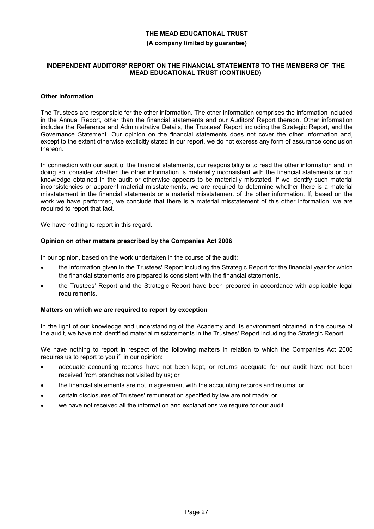#### **(A company limited by guarantee)**

#### **INDEPENDENT AUDITORS' REPORT ON THE FINANCIAL STATEMENTS TO THE MEMBERS OF THE MEAD EDUCATIONAL TRUST (CONTINUED)**

### **Other information**

The Trustees are responsible for the other information. The other information comprises the information included in the Annual Report, other than the financial statements and our Auditors' Report thereon. Other information includes the Reference and Administrative Details, the Trustees' Report including the Strategic Report, and the Governance Statement. Our opinion on the financial statements does not cover the other information and, except to the extent otherwise explicitly stated in our report, we do not express any form of assurance conclusion thereon.

In connection with our audit of the financial statements, our responsibility is to read the other information and, in doing so, consider whether the other information is materially inconsistent with the financial statements or our knowledge obtained in the audit or otherwise appears to be materially misstated. If we identify such material inconsistencies or apparent material misstatements, we are required to determine whether there is a material misstatement in the financial statements or a material misstatement of the other information. If, based on the work we have performed, we conclude that there is a material misstatement of this other information, we are required to report that fact.

We have nothing to report in this regard.

### **Opinion on other matters prescribed by the Companies Act 2006**

In our opinion, based on the work undertaken in the course of the audit:

- the information given in the Trustees' Report including the Strategic Report for the financial year for which the financial statements are prepared is consistent with the financial statements.
- the Trustees' Report and the Strategic Report have been prepared in accordance with applicable legal requirements.

#### **Matters on which we are required to report by exception**

In the light of our knowledge and understanding of the Academy and its environment obtained in the course of the audit, we have not identified material misstatements in the Trustees' Report including the Strategic Report.

We have nothing to report in respect of the following matters in relation to which the Companies Act 2006 requires us to report to you if, in our opinion:

- adequate accounting records have not been kept, or returns adequate for our audit have not been received from branches not visited by us; or
- the financial statements are not in agreement with the accounting records and returns; or
- certain disclosures of Trustees' remuneration specified by law are not made; or
- we have not received all the information and explanations we require for our audit.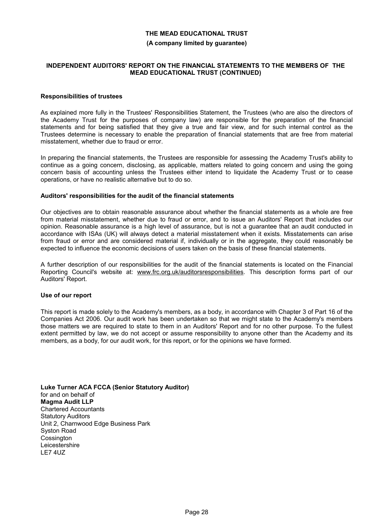#### **(A company limited by guarantee)**

#### **INDEPENDENT AUDITORS' REPORT ON THE FINANCIAL STATEMENTS TO THE MEMBERS OF THE MEAD EDUCATIONAL TRUST (CONTINUED)**

#### **Responsibilities of trustees**

As explained more fully in the Trustees' Responsibilities Statement, the Trustees (who are also the directors of the Academy Trust for the purposes of company law) are responsible for the preparation of the financial statements and for being satisfied that they give a true and fair view, and for such internal control as the Trustees determine is necessary to enable the preparation of financial statements that are free from material misstatement, whether due to fraud or error.

In preparing the financial statements, the Trustees are responsible for assessing the Academy Trust's ability to continue as a going concern, disclosing, as applicable, matters related to going concern and using the going concern basis of accounting unless the Trustees either intend to liquidate the Academy Trust or to cease operations, or have no realistic alternative but to do so.

#### **Auditors' responsibilities for the audit of the financial statements**

Our objectives are to obtain reasonable assurance about whether the financial statements as a whole are free from material misstatement, whether due to fraud or error, and to issue an Auditors' Report that includes our opinion. Reasonable assurance is a high level of assurance, but is not a guarantee that an audit conducted in accordance with ISAs (UK) will always detect a material misstatement when it exists. Misstatements can arise from fraud or error and are considered material if, individually or in the aggregate, they could reasonably be expected to influence the economic decisions of users taken on the basis of these financial statements.

A further description of our responsibilities for the audit of the financial statements is located on the Financial Reporting Council's website at: www.frc.org.uk/auditorsresponsibilities. This description forms part of our Auditors' Report.

#### **Use of our report**

This report is made solely to the Academy's members, as a body, in accordance with Chapter 3 of Part 16 of the Companies Act 2006. Our audit work has been undertaken so that we might state to the Academy's members those matters we are required to state to them in an Auditors' Report and for no other purpose. To the fullest extent permitted by law, we do not accept or assume responsibility to anyone other than the Academy and its members, as a body, for our audit work, for this report, or for the opinions we have formed.

**Luke Turner ACA FCCA (Senior Statutory Auditor)** for and on behalf of **Magma Audit LLP** Chartered Accountants Statutory Auditors Unit 2, Charnwood Edge Business Park Syston Road **Cossington Leicestershire** LE7 4UZ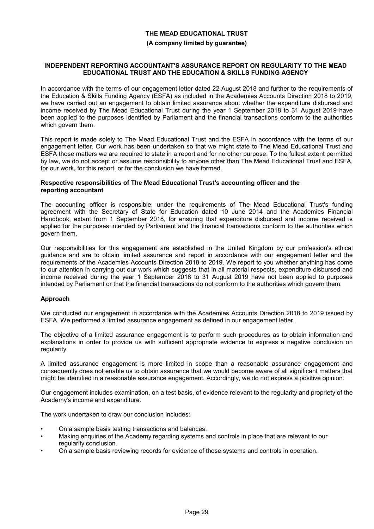#### **(A company limited by guarantee)**

#### **INDEPENDENT REPORTING ACCOUNTANT'S ASSURANCE REPORT ON REGULARITY TO THE MEAD EDUCATIONAL TRUST AND THE EDUCATION & SKILLS FUNDING AGENCY**

In accordance with the terms of our engagement letter dated 22 August 2018 and further to the requirements of the Education & Skills Funding Agency (ESFA) as included in the Academies Accounts Direction 2018 to 2019, we have carried out an engagement to obtain limited assurance about whether the expenditure disbursed and income received by The Mead Educational Trust during the year 1 September 2018 to 31 August 2019 have been applied to the purposes identified by Parliament and the financial transactions conform to the authorities which govern them.

This report is made solely to The Mead Educational Trust and the ESFA in accordance with the terms of our engagement letter. Our work has been undertaken so that we might state to The Mead Educational Trust and ESFA those matters we are required to state in a report and for no other purpose. To the fullest extent permitted by law, we do not accept or assume responsibility to anyone other than The Mead Educational Trust and ESFA, for our work, for this report, or for the conclusion we have formed.

#### **Respective responsibilities of The Mead Educational Trust's accounting officer and the reporting accountant**

The accounting officer is responsible, under the requirements of The Mead Educational Trust's funding agreement with the Secretary of State for Education dated 10 June 2014 and the Academies Financial Handbook, extant from 1 September 2018, for ensuring that expenditure disbursed and income received is applied for the purposes intended by Parliament and the financial transactions conform to the authorities which govern them.

Our responsibilities for this engagement are established in the United Kingdom by our profession's ethical guidance and are to obtain limited assurance and report in accordance with our engagement letter and the requirements of the Academies Accounts Direction 2018 to 2019. We report to you whether anything has come to our attention in carrying out our work which suggests that in all material respects, expenditure disbursed and income received during the year 1 September 2018 to 31 August 2019 have not been applied to purposes intended by Parliament or that the financial transactions do not conform to the authorities which govern them.

### **Approach**

We conducted our engagement in accordance with the Academies Accounts Direction 2018 to 2019 issued by ESFA. We performed a limited assurance engagement as defined in our engagement letter.

The objective of a limited assurance engagement is to perform such procedures as to obtain information and explanations in order to provide us with sufficient appropriate evidence to express a negative conclusion on regularity.

A limited assurance engagement is more limited in scope than a reasonable assurance engagement and consequently does not enable us to obtain assurance that we would become aware of all significant matters that might be identified in a reasonable assurance engagement. Accordingly, we do not express a positive opinion.

Our engagement includes examination, on a test basis, of evidence relevant to the regularity and propriety of the Academy's income and expenditure.

The work undertaken to draw our conclusion includes:

- On a sample basis testing transactions and balances.
- Making enquiries of the Academy regarding systems and controls in place that are relevant to our regularity conclusion.
- On a sample basis reviewing records for evidence of those systems and controls in operation.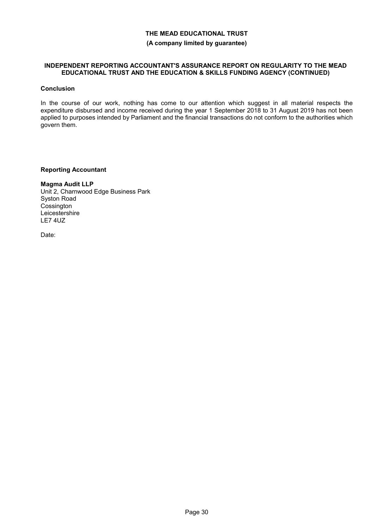#### **INDEPENDENT REPORTING ACCOUNTANT'S ASSURANCE REPORT ON REGULARITY TO THE MEAD EDUCATIONAL TRUST AND THE EDUCATION & SKILLS FUNDING AGENCY (CONTINUED)**

#### **Conclusion**

In the course of our work, nothing has come to our attention which suggest in all material respects the expenditure disbursed and income received during the year 1 September 2018 to 31 August 2019 has not been applied to purposes intended by Parliament and the financial transactions do not conform to the authorities which govern them.

#### **Reporting Accountant**

**Magma Audit LLP** Unit 2, Charnwood Edge Business Park Syston Road **Cossington Leicestershire** LE7 4UZ

Date: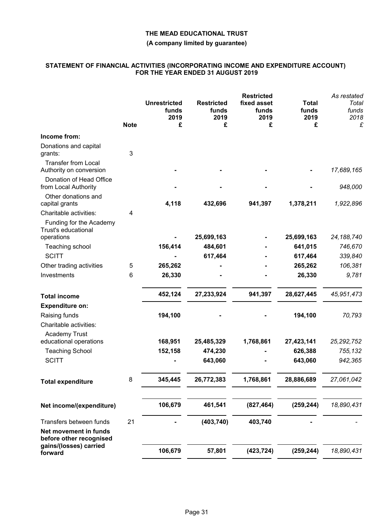### **(A company limited by guarantee)**

#### **STATEMENT OF FINANCIAL ACTIVITIES (INCORPORATING INCOME AND EXPENDITURE ACCOUNT) FOR THE YEAR ENDED 31 AUGUST 2019**

|                                                       | <b>Note</b> | <b>Unrestricted</b><br>funds<br>2019<br>£ | <b>Restricted</b><br>funds<br>2019<br>£ | <b>Restricted</b><br>fixed asset<br>funds<br>2019<br>£ | <b>Total</b><br>funds<br>2019<br>£ | As restated<br>Total<br>funds<br>2018<br>£ |
|-------------------------------------------------------|-------------|-------------------------------------------|-----------------------------------------|--------------------------------------------------------|------------------------------------|--------------------------------------------|
| Income from:                                          |             |                                           |                                         |                                                        |                                    |                                            |
| Donations and capital<br>grants:                      | 3           |                                           |                                         |                                                        |                                    |                                            |
| <b>Transfer from Local</b><br>Authority on conversion |             |                                           |                                         |                                                        |                                    | 17,689,165                                 |
| Donation of Head Office<br>from Local Authority       |             |                                           |                                         |                                                        |                                    | 948,000                                    |
| Other donations and<br>capital grants                 |             | 4,118                                     | 432,696                                 | 941,397                                                | 1,378,211                          | 1,922,896                                  |
| Charitable activities:                                | 4           |                                           |                                         |                                                        |                                    |                                            |
| Funding for the Academy<br>Trust's educational        |             |                                           |                                         |                                                        |                                    |                                            |
| operations                                            |             |                                           | 25,699,163                              |                                                        | 25,699,163                         | 24, 188, 740                               |
| Teaching school                                       |             | 156,414                                   | 484,601                                 |                                                        | 641,015                            | 746,670                                    |
| <b>SCITT</b>                                          |             |                                           | 617,464                                 |                                                        | 617,464                            | 339,840                                    |
| Other trading activities                              | 5           | 265,262                                   |                                         |                                                        | 265,262                            | 106,381                                    |
| Investments                                           | 6           | 26,330                                    |                                         |                                                        | 26,330                             | 9,781                                      |
| <b>Total income</b>                                   |             | 452,124                                   | 27,233,924                              | 941,397                                                | 28,627,445                         | 45,951,473                                 |
| <b>Expenditure on:</b>                                |             |                                           |                                         |                                                        |                                    |                                            |
| Raising funds<br>Charitable activities:               |             | 194,100                                   |                                         |                                                        | 194,100                            | 70,793                                     |
| <b>Academy Trust</b>                                  |             |                                           |                                         |                                                        |                                    |                                            |
| educational operations                                |             | 168,951                                   | 25,485,329                              | 1,768,861                                              | 27,423,141                         | 25, 292, 752                               |
| <b>Teaching School</b>                                |             | 152,158                                   | 474,230                                 |                                                        | 626,388                            | 755,132                                    |
| <b>SCITT</b>                                          |             |                                           | 643,060                                 |                                                        | 643,060                            | 942,365                                    |
| <b>Total expenditure</b>                              | 8           | 345,445                                   | 26,772,383                              | 1,768,861                                              | 28,886,689                         | 27,061,042                                 |
| Net income/(expenditure)                              |             | 106,679                                   | 461,541                                 | (827, 464)                                             | (259, 244)                         | 18,890,431                                 |
| Transfers between funds                               | 21          |                                           | (403, 740)                              | 403,740                                                |                                    |                                            |
| Net movement in funds<br>before other recognised      |             |                                           |                                         |                                                        |                                    |                                            |
| gains/(losses) carried<br>forward                     |             | 106,679                                   | 57,801                                  | (423, 724)                                             | (259, 244)                         | 18,890,431                                 |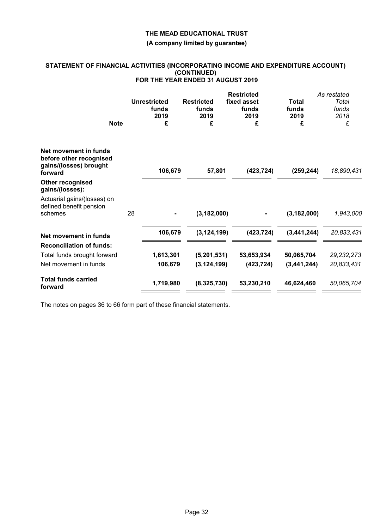#### **(A company limited by guarantee)**

#### **STATEMENT OF FINANCIAL ACTIVITIES (INCORPORATING INCOME AND EXPENDITURE ACCOUNT) (CONTINUED) FOR THE YEAR ENDED 31 AUGUST 2019**

|                                                                                       | <b>Note</b> | <b>Unrestricted</b><br>funds<br>2019<br>£ | <b>Restricted</b><br>funds<br>2019<br>£ | <b>Restricted</b><br>fixed asset<br>funds<br>2019<br>£ | Total<br>funds<br>2019<br>£ | As restated<br>Total<br>funds<br>2018<br>£ |
|---------------------------------------------------------------------------------------|-------------|-------------------------------------------|-----------------------------------------|--------------------------------------------------------|-----------------------------|--------------------------------------------|
| Net movement in funds<br>before other recognised<br>gains/(losses) brought<br>forward |             | 106,679                                   | 57,801                                  | (423, 724)                                             | (259, 244)                  | 18,890,431                                 |
| <b>Other recognised</b><br>gains/(losses):                                            |             |                                           |                                         |                                                        |                             |                                            |
| Actuarial gains/(losses) on<br>defined benefit pension<br>schemes                     |             | 28<br>$\blacksquare$                      | (3, 182, 000)                           | $\blacksquare$                                         | (3, 182, 000)               | 1,943,000                                  |
| Net movement in funds                                                                 |             | 106,679                                   | (3.124.199)                             | (423, 724)                                             | (3.441.244)                 | 20,833,431                                 |
| <b>Reconciliation of funds:</b>                                                       |             |                                           |                                         |                                                        |                             |                                            |
| Total funds brought forward                                                           |             | 1,613,301                                 | (5,201,531)                             | 53,653,934                                             | 50,065,704                  | 29, 232, 273                               |
| Net movement in funds                                                                 |             | 106,679                                   | (3, 124, 199)                           | (423, 724)                                             | (3,441,244)                 | 20,833,431                                 |
| <b>Total funds carried</b><br>forward                                                 |             | 1,719,980                                 | (8,325,730)                             | 53,230,210                                             | 46,624,460                  | 50,065,704                                 |

The notes on pages 36 to 66 form part of these financial statements.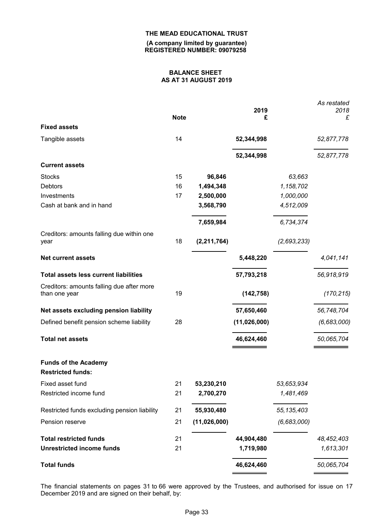**(A company limited by guarantee) REGISTERED NUMBER: 09079258**

### **BALANCE SHEET AS AT 31 AUGUST 2019**

|                                                            | <b>Note</b> |               | 2019<br>£    |              | As restated<br>2018<br>£ |
|------------------------------------------------------------|-------------|---------------|--------------|--------------|--------------------------|
| <b>Fixed assets</b>                                        |             |               |              |              |                          |
| Tangible assets                                            | 14          |               | 52,344,998   |              | 52,877,778               |
|                                                            |             |               | 52,344,998   |              | 52,877,778               |
| <b>Current assets</b>                                      |             |               |              |              |                          |
| <b>Stocks</b>                                              | 15          | 96,846        |              | 63,663       |                          |
| <b>Debtors</b>                                             | 16          | 1,494,348     |              | 1,158,702    |                          |
| Investments                                                | 17          | 2,500,000     |              | 1,000,000    |                          |
| Cash at bank and in hand                                   |             | 3,568,790     |              | 4,512,009    |                          |
|                                                            |             | 7,659,984     |              | 6,734,374    |                          |
| Creditors: amounts falling due within one<br>year          | 18          | (2, 211, 764) |              | (2,693,233)  |                          |
| <b>Net current assets</b>                                  |             |               | 5,448,220    |              | 4,041,141                |
| <b>Total assets less current liabilities</b>               |             |               | 57,793,218   |              | 56,918,919               |
| Creditors: amounts falling due after more<br>than one year | 19          |               | (142, 758)   |              | (170, 215)               |
| Net assets excluding pension liability                     |             |               | 57,650,460   |              | 56,748,704               |
| Defined benefit pension scheme liability                   | 28          |               | (11,026,000) |              | (6,683,000)              |
| <b>Total net assets</b>                                    |             |               | 46,624,460   |              | 50,065,704               |
| <b>Funds of the Academy</b><br><b>Restricted funds:</b>    |             |               |              |              |                          |
| Fixed asset fund                                           | 21          | 53,230,210    |              | 53,653,934   |                          |
| Restricted income fund                                     | 21          | 2,700,270     |              | 1,481,469    |                          |
| Restricted funds excluding pension liability               | 21          | 55,930,480    |              | 55, 135, 403 |                          |
| Pension reserve                                            | 21          | (11,026,000)  |              | (6,683,000)  |                          |
| <b>Total restricted funds</b>                              | 21          |               | 44,904,480   |              | 48,452,403               |
| <b>Unrestricted income funds</b>                           | 21          |               | 1,719,980    |              | 1,613,301                |
| <b>Total funds</b>                                         |             |               | 46,624,460   |              | 50,065,704               |

The financial statements on pages 31 to 66 were approved by the Trustees, and authorised for issue on 17 December 2019 and are signed on their behalf, by: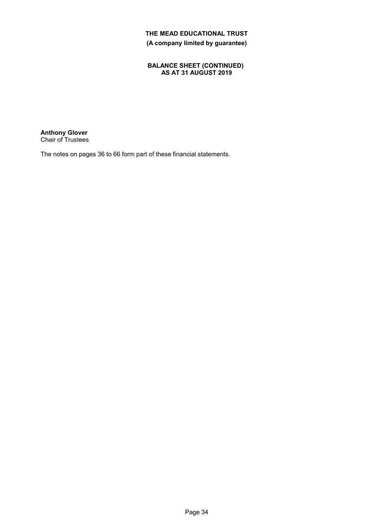### **BALANCE SHEET (CONTINUED) AS AT 31 AUGUST 2019**

**Anthony Glover** Chair of Trustees

The notes on pages 36 to 66 form part of these financial statements.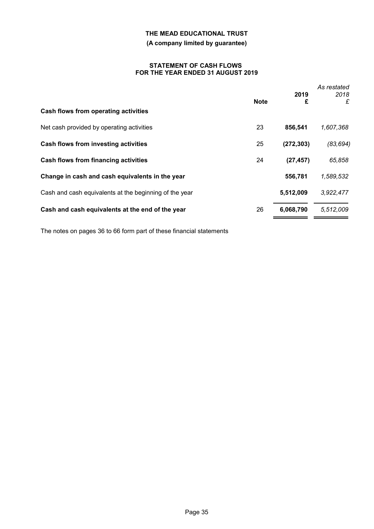### **(A company limited by guarantee)**

#### **STATEMENT OF CASH FLOWS FOR THE YEAR ENDED 31 AUGUST 2019**

| Cash flows from operating activities                   | <b>Note</b> | 2019<br>£  | As restated<br>2018<br>£ |
|--------------------------------------------------------|-------------|------------|--------------------------|
| Net cash provided by operating activities              | 23          | 856,541    | 1,607,368                |
| Cash flows from investing activities                   | 25          | (272, 303) | (83, 694)                |
| <b>Cash flows from financing activities</b>            | 24          | (27, 457)  | 65,858                   |
| Change in cash and cash equivalents in the year        |             | 556,781    | 1,589,532                |
| Cash and cash equivalents at the beginning of the year |             | 5,512,009  | 3,922,477                |
| Cash and cash equivalents at the end of the year       | 26          | 6,068,790  | 5,512,009                |

The notes on pages 36 to 66 form part of these financial statements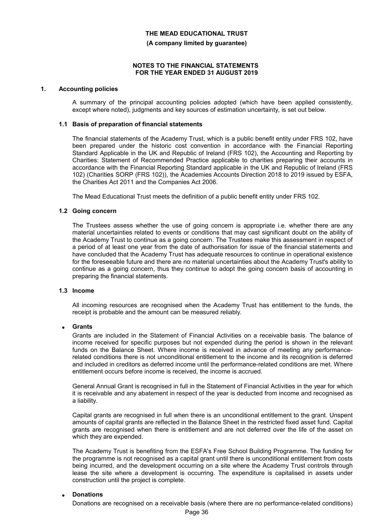#### **(A company limited by guarantee)**

#### **NOTES TO THE FINANCIAL STATEMENTS FOR THE YEAR ENDED 31 AUGUST 2019**

#### **1. Accounting policies**

A summary of the principal accounting policies adopted (which have been applied consistently, except where noted), judgments and key sources of estimation uncertainty, is set out below.

#### **1.1 Basis of preparation of financial statements**

The financial statements of the Academy Trust, which is a public benefit entity under FRS 102, have been prepared under the historic cost convention in accordance with the Financial Reporting Standard Applicable in the UK and Republic of Ireland (FRS 102), the Accounting and Reporting by Charities: Statement of Recommended Practice applicable to charities preparing their accounts in accordance with the Financial Reporting Standard applicable in the UK and Republic of Ireland (FRS 102) (Charities SORP (FRS 102)), the Academies Accounts Direction 2018 to 2019 issued by ESFA, the Charities Act 2011 and the Companies Act 2006.

The Mead Educational Trust meets the definition of a public benefit entity under FRS 102.

#### **1.2 Going concern**

The Trustees assess whether the use of going concern is appropriate i.e. whether there are any material uncertainties related to events or conditions that may cast significant doubt on the ability of the Academy Trust to continue as a going concern. The Trustees make this assessment in respect of a period of at least one year from the date of authorisation for issue of the financial statements and have concluded that the Academy Trust has adequate resources to continue in operational existence for the foreseeable future and there are no material uncertainties about the Academy Trust's ability to continue as a going concern, thus they continue to adopt the going concern basis of accounting in preparing the financial statements.

#### **1.3 Income**

All incoming resources are recognised when the Academy Trust has entitlement to the funds, the receipt is probable and the amount can be measured reliably.

#### **Grants**

Grants are included in the Statement of Financial Activities on a receivable basis. The balance of income received for specific purposes but not expended during the period is shown in the relevant funds on the Balance Sheet. Where income is received in advance of meeting any performancerelated conditions there is not unconditional entitlement to the income and its recognition is deferred and included in creditors as deferred income until the performance-related conditions are met. Where entitlement occurs before income is received, the income is accrued.

General Annual Grant is recognised in full in the Statement of Financial Activities in the year for which it is receivable and any abatement in respect of the year is deducted from income and recognised as a liability.

Capital grants are recognised in full when there is an unconditional entitlement to the grant. Unspent amounts of capital grants are reflected in the Balance Sheet in the restricted fixed asset fund. Capital grants are recognised when there is entitlement and are not deferred over the life of the asset on which they are expended.

The Academy Trust is benefiting from the ESFA's Free School Building Programme. The funding for the programme is not recognised as a capital grant until there is unconditional entitlement from costs being incurred, and the development occurring on a site where the Academy Trust controls through lease the site where a development is occurring. The expenditure is capitalised in assets under construction until the project is complete.

#### **Donations**

Donations are recognised on a receivable basis (where there are no performance-related conditions)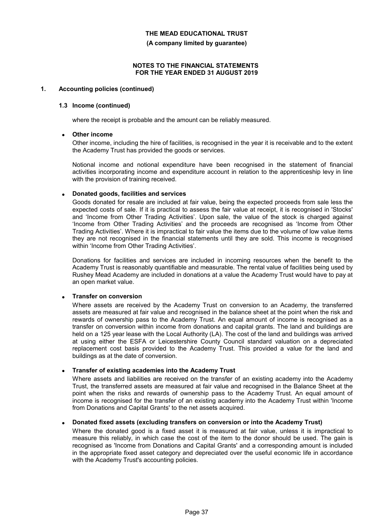**(A company limited by guarantee)**

#### **NOTES TO THE FINANCIAL STATEMENTS FOR THE YEAR ENDED 31 AUGUST 2019**

#### **1. Accounting policies (continued)**

#### **1.3 Income (continued)**

where the receipt is probable and the amount can be reliably measured.

#### **Other income**

Other income, including the hire of facilities, is recognised in the year it is receivable and to the extent the Academy Trust has provided the goods or services.

Notional income and notional expenditure have been recognised in the statement of financial activities incorporating income and expenditure account in relation to the apprenticeship levy in line with the provision of training received.

#### **Donated goods, facilities and services**

Goods donated for resale are included at fair value, being the expected proceeds from sale less the expected costs of sale. If it is practical to assess the fair value at receipt, it is recognised in 'Stocks' and 'Income from Other Trading Activities'. Upon sale, the value of the stock is charged against 'Income from Other Trading Activities' and the proceeds are recognised as 'Income from Other Trading Activities'. Where it is impractical to fair value the items due to the volume of low value items they are not recognised in the financial statements until they are sold. This income is recognised within 'Income from Other Trading Activities'.

Donations for facilities and services are included in incoming resources when the benefit to the Academy Trust is reasonably quantifiable and measurable. The rental value of facilities being used by Rushey Mead Academy are included in donations at a value the Academy Trust would have to pay at an open market value.

### **Transfer on conversion**

Where assets are received by the Academy Trust on conversion to an Academy, the transferred assets are measured at fair value and recognised in the balance sheet at the point when the risk and rewards of ownership pass to the Academy Trust. An equal amount of income is recognised as a transfer on conversion within income from donations and capital grants. The land and buildings are held on a 125 year lease with the Local Authority (LA). The cost of the land and buildings was arrived at using either the ESFA or Leicestershire County Council standard valuation on a depreciated replacement cost basis provided to the Academy Trust. This provided a value for the land and buildings as at the date of conversion.

### **Transfer of existing academies into the Academy Trust**

Where assets and liabilities are received on the transfer of an existing academy into the Academy Trust, the transferred assets are measured at fair value and recognised in the Balance Sheet at the point when the risks and rewards of ownership pass to the Academy Trust. An equal amount of income is recognised for the transfer of an existing academy into the Academy Trust within 'Income from Donations and Capital Grants' to the net assets acquired.

#### **Donated fixed assets (excluding transfers on conversion or into the Academy Trust)**

Where the donated good is a fixed asset it is measured at fair value, unless it is impractical to measure this reliably, in which case the cost of the item to the donor should be used. The gain is recognised as 'Income from Donations and Capital Grants' and a corresponding amount is included in the appropriate fixed asset category and depreciated over the useful economic life in accordance with the Academy Trust's accounting policies.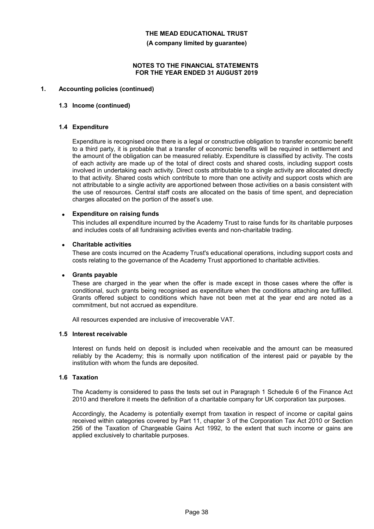**(A company limited by guarantee)**

#### **NOTES TO THE FINANCIAL STATEMENTS FOR THE YEAR ENDED 31 AUGUST 2019**

#### **1. Accounting policies (continued)**

#### **1.3 Income (continued)**

#### **1.4 Expenditure**

Expenditure is recognised once there is a legal or constructive obligation to transfer economic benefit to a third party, it is probable that a transfer of economic benefits will be required in settlement and the amount of the obligation can be measured reliably. Expenditure is classified by activity. The costs of each activity are made up of the total of direct costs and shared costs, including support costs involved in undertaking each activity. Direct costs attributable to a single activity are allocated directly to that activity. Shared costs which contribute to more than one activity and support costs which are not attributable to a single activity are apportioned between those activities on a basis consistent with the use of resources. Central staff costs are allocated on the basis of time spent, and depreciation charges allocated on the portion of the asset's use.

#### **Expenditure on raising funds**

This includes all expenditure incurred by the Academy Trust to raise funds for its charitable purposes and includes costs of all fundraising activities events and non-charitable trading.

#### **Charitable activities**

These are costs incurred on the Academy Trust's educational operations, including support costs and costs relating to the governance of the Academy Trust apportioned to charitable activities.

#### **Grants payable**

These are charged in the year when the offer is made except in those cases where the offer is conditional, such grants being recognised as expenditure when the conditions attaching are fulfilled. Grants offered subject to conditions which have not been met at the year end are noted as a commitment, but not accrued as expenditure.

All resources expended are inclusive of irrecoverable VAT.

#### **1.5 Interest receivable**

Interest on funds held on deposit is included when receivable and the amount can be measured reliably by the Academy; this is normally upon notification of the interest paid or payable by the institution with whom the funds are deposited.

#### **1.6 Taxation**

The Academy is considered to pass the tests set out in Paragraph 1 Schedule 6 of the Finance Act 2010 and therefore it meets the definition of a charitable company for UK corporation tax purposes.

Accordingly, the Academy is potentially exempt from taxation in respect of income or capital gains received within categories covered by Part 11, chapter 3 of the Corporation Tax Act 2010 or Section 256 of the Taxation of Chargeable Gains Act 1992, to the extent that such income or gains are applied exclusively to charitable purposes.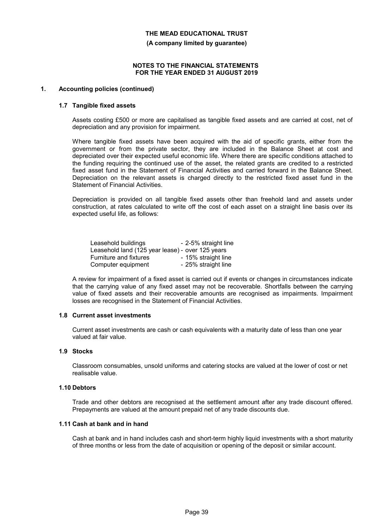**(A company limited by guarantee)**

#### **NOTES TO THE FINANCIAL STATEMENTS FOR THE YEAR ENDED 31 AUGUST 2019**

### **1. Accounting policies (continued)**

#### **1.7 Tangible fixed assets**

Assets costing £500 or more are capitalised as tangible fixed assets and are carried at cost, net of depreciation and any provision for impairment.

Where tangible fixed assets have been acquired with the aid of specific grants, either from the government or from the private sector, they are included in the Balance Sheet at cost and depreciated over their expected useful economic life. Where there are specific conditions attached to the funding requiring the continued use of the asset, the related grants are credited to a restricted fixed asset fund in the Statement of Financial Activities and carried forward in the Balance Sheet. Depreciation on the relevant assets is charged directly to the restricted fixed asset fund in the Statement of Financial Activities.

Depreciation is provided on all tangible fixed assets other than freehold land and assets under construction, at rates calculated to write off the cost of each asset on a straight line basis over its expected useful life, as follows:

| Leasehold buildings                              | - 2-5% straight line |
|--------------------------------------------------|----------------------|
| Leasehold land (125 year lease) - over 125 years |                      |
| Furniture and fixtures                           | - 15% straight line  |
| Computer equipment                               | - 25% straight line  |

A review for impairment of a fixed asset is carried out if events or changes in circumstances indicate that the carrying value of any fixed asset may not be recoverable. Shortfalls between the carrying value of fixed assets and their recoverable amounts are recognised as impairments. Impairment losses are recognised in the Statement of Financial Activities.

#### **1.8 Current asset investments**

Current asset investments are cash or cash equivalents with a maturity date of less than one year valued at fair value.

#### **1.9 Stocks**

Classroom consumables, unsold uniforms and catering stocks are valued at the lower of cost or net realisable value.

#### **1.10 Debtors**

Trade and other debtors are recognised at the settlement amount after any trade discount offered. Prepayments are valued at the amount prepaid net of any trade discounts due.

### **1.11 Cash at bank and in hand**

Cash at bank and in hand includes cash and short-term highly liquid investments with a short maturity of three months or less from the date of acquisition or opening of the deposit or similar account.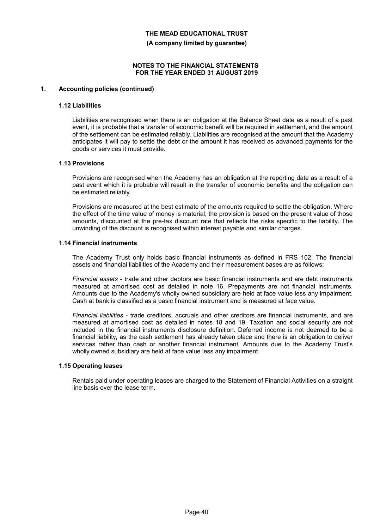**(A company limited by guarantee)**

#### **NOTES TO THE FINANCIAL STATEMENTS FOR THE YEAR ENDED 31 AUGUST 2019**

#### **1. Accounting policies (continued)**

#### **1.12 Liabilities**

Liabilities are recognised when there is an obligation at the Balance Sheet date as a result of a past event, it is probable that a transfer of economic benefit will be required in settlement, and the amount of the settlement can be estimated reliably. Liabilities are recognised at the amount that the Academy anticipates it will pay to settle the debt or the amount it has received as advanced payments for the goods or services it must provide.

#### **1.13 Provisions**

Provisions are recognised when the Academy has an obligation at the reporting date as a result of a past event which it is probable will result in the transfer of economic benefits and the obligation can be estimated reliably.

Provisions are measured at the best estimate of the amounts required to settle the obligation. Where the effect of the time value of money is material, the provision is based on the present value of those amounts, discounted at the pre-tax discount rate that reflects the risks specific to the liability. The unwinding of the discount is recognised within interest payable and similar charges.

### **1.14 Financial instruments**

The Academy Trust only holds basic financial instruments as defined in FRS 102. The financial assets and financial liabilities of the Academy and their measurement bases are as follows:

*Financial assets* - trade and other debtors are basic financial instruments and are debt instruments measured at amortised cost as detailed in note 16. Prepayments are not financial instruments. Amounts due to the Academy's wholly owned subsidiary are held at face value less any impairment. Cash at bank is classified as a basic financial instrument and is measured at face value.

*Financial liabilities* - trade creditors, accruals and other creditors are financial instruments, and are measured at amortised cost as detailed in notes 18 and 19. Taxation and social security are not included in the financial instruments disclosure definition. Deferred income is not deemed to be a financial liability, as the cash settlement has already taken place and there is an obligation to deliver services rather than cash or another financial instrument. Amounts due to the Academy Trust's wholly owned subsidiary are held at face value less any impairment.

#### **1.15 Operating leases**

Rentals paid under operating leases are charged to the Statement of Financial Activities on a straight line basis over the lease term.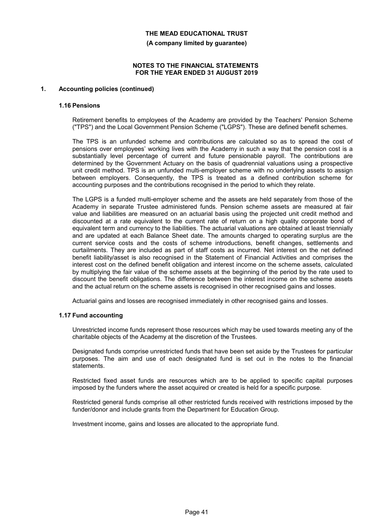**(A company limited by guarantee)**

#### **NOTES TO THE FINANCIAL STATEMENTS FOR THE YEAR ENDED 31 AUGUST 2019**

#### **1. Accounting policies (continued)**

#### **1.16 Pensions**

Retirement benefits to employees of the Academy are provided by the Teachers' Pension Scheme ("TPS") and the Local Government Pension Scheme ("LGPS"). These are defined benefit schemes.

The TPS is an unfunded scheme and contributions are calculated so as to spread the cost of pensions over employees' working lives with the Academy in such a way that the pension cost is a substantially level percentage of current and future pensionable payroll. The contributions are determined by the Government Actuary on the basis of quadrennial valuations using a prospective unit credit method. TPS is an unfunded multi-employer scheme with no underlying assets to assign between employers. Consequently, the TPS is treated as a defined contribution scheme for accounting purposes and the contributions recognised in the period to which they relate.

The LGPS is a funded multi-employer scheme and the assets are held separately from those of the Academy in separate Trustee administered funds. Pension scheme assets are measured at fair value and liabilities are measured on an actuarial basis using the projected unit credit method and discounted at a rate equivalent to the current rate of return on a high quality corporate bond of equivalent term and currency to the liabilities. The actuarial valuations are obtained at least triennially and are updated at each Balance Sheet date. The amounts charged to operating surplus are the current service costs and the costs of scheme introductions, benefit changes, settlements and curtailments. They are included as part of staff costs as incurred. Net interest on the net defined benefit liability/asset is also recognised in the Statement of Financial Activities and comprises the interest cost on the defined benefit obligation and interest income on the scheme assets, calculated by multiplying the fair value of the scheme assets at the beginning of the period by the rate used to discount the benefit obligations. The difference between the interest income on the scheme assets and the actual return on the scheme assets is recognised in other recognised gains and losses.

Actuarial gains and losses are recognised immediately in other recognised gains and losses.

#### **1.17 Fund accounting**

Unrestricted income funds represent those resources which may be used towards meeting any of the charitable objects of the Academy at the discretion of the Trustees.

Designated funds comprise unrestricted funds that have been set aside by the Trustees for particular purposes. The aim and use of each designated fund is set out in the notes to the financial statements.

Restricted fixed asset funds are resources which are to be applied to specific capital purposes imposed by the funders where the asset acquired or created is held for a specific purpose.

Restricted general funds comprise all other restricted funds received with restrictions imposed by the funder/donor and include grants from the Department for Education Group.

Investment income, gains and losses are allocated to the appropriate fund.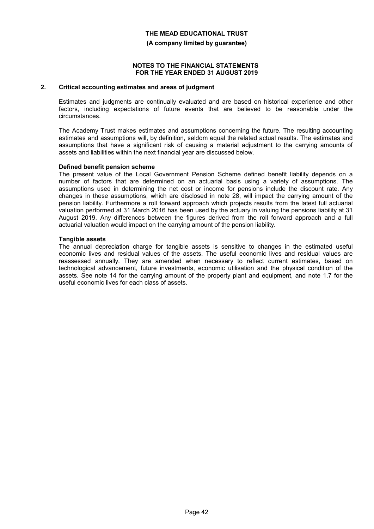#### **(A company limited by guarantee)**

#### **NOTES TO THE FINANCIAL STATEMENTS FOR THE YEAR ENDED 31 AUGUST 2019**

#### **2. Critical accounting estimates and areas of judgment**

Estimates and judgments are continually evaluated and are based on historical experience and other factors, including expectations of future events that are believed to be reasonable under the circumstances.

The Academy Trust makes estimates and assumptions concerning the future. The resulting accounting estimates and assumptions will, by definition, seldom equal the related actual results. The estimates and assumptions that have a significant risk of causing a material adjustment to the carrying amounts of assets and liabilities within the next financial year are discussed below.

#### **Defined benefit pension scheme**

The present value of the Local Government Pension Scheme defined benefit liability depends on a number of factors that are determined on an actuarial basis using a variety of assumptions. The assumptions used in determining the net cost or income for pensions include the discount rate. Any changes in these assumptions, which are disclosed in note 28, will impact the carrying amount of the pension liability. Furthermore a roll forward approach which projects results from the latest full actuarial valuation performed at 31 March 2016 has been used by the actuary in valuing the pensions liability at 31 August 2019. Any differences between the figures derived from the roll forward approach and a full actuarial valuation would impact on the carrying amount of the pension liability.

#### **Tangible assets**

The annual depreciation charge for tangible assets is sensitive to changes in the estimated useful economic lives and residual values of the assets. The useful economic lives and residual values are reassessed annually. They are amended when necessary to reflect current estimates, based on technological advancement, future investments, economic utilisation and the physical condition of the assets. See note 14 for the carrying amount of the property plant and equipment, and note 1.7 for the useful economic lives for each class of assets.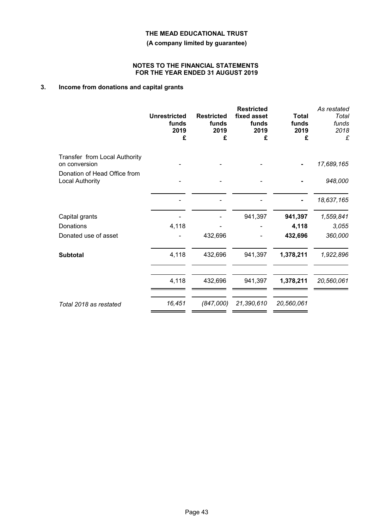**(A company limited by guarantee)**

#### **NOTES TO THE FINANCIAL STATEMENTS FOR THE YEAR ENDED 31 AUGUST 2019**

## **3. Income from donations and capital grants**

| <b>Unrestricted</b><br>funds<br>2019<br>£ | <b>Restricted</b><br>funds<br>2019<br>£ | <b>Restricted</b><br>fixed asset<br>funds<br>2019<br>£ | <b>Total</b><br>funds<br>2019<br>£ | As restated<br>Total<br>funds<br>2018<br>£ |
|-------------------------------------------|-----------------------------------------|--------------------------------------------------------|------------------------------------|--------------------------------------------|
|                                           |                                         |                                                        |                                    | 17,689,165                                 |
|                                           |                                         |                                                        |                                    | 948,000                                    |
|                                           |                                         |                                                        |                                    | 18,637,165                                 |
|                                           |                                         | 941,397                                                | 941,397                            | 1,559,841                                  |
| 4,118                                     |                                         |                                                        | 4,118                              | 3,055                                      |
|                                           | 432,696                                 |                                                        | 432,696                            | 360,000                                    |
| 4,118                                     | 432,696                                 | 941,397                                                | 1,378,211                          | 1,922,896                                  |
| 4,118                                     | 432,696                                 | 941,397                                                | 1,378,211                          | 20,560,061                                 |
| 16,451                                    | (847,000)                               | 21,390,610                                             | 20,560,061                         |                                            |
|                                           |                                         |                                                        |                                    |                                            |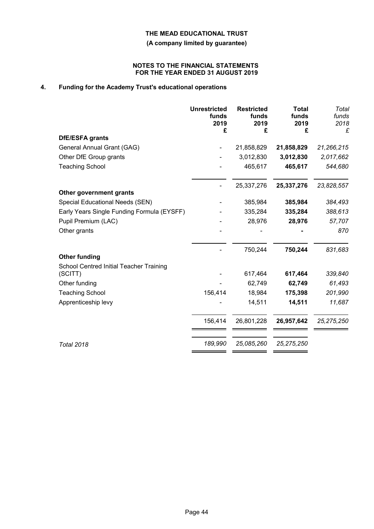**(A company limited by guarantee)**

#### **NOTES TO THE FINANCIAL STATEMENTS FOR THE YEAR ENDED 31 AUGUST 2019**

# **4. Funding for the Academy Trust's educational operations**

|                                                    | <b>Unrestricted</b><br>funds<br>2019<br>£ | <b>Restricted</b><br>funds<br>2019<br>£ | <b>Total</b><br>funds<br>2019<br>£ | Total<br>funds<br>2018<br>£ |
|----------------------------------------------------|-------------------------------------------|-----------------------------------------|------------------------------------|-----------------------------|
| <b>DfE/ESFA grants</b>                             |                                           |                                         |                                    |                             |
| General Annual Grant (GAG)                         |                                           | 21,858,829                              | 21,858,829                         | 21,266,215                  |
| Other DfE Group grants                             |                                           | 3,012,830                               | 3,012,830                          | 2,017,662                   |
| <b>Teaching School</b>                             |                                           | 465,617                                 | 465,617                            | 544,680                     |
|                                                    |                                           | 25,337,276                              | 25,337,276                         | 23,828,557                  |
| Other government grants                            |                                           |                                         |                                    |                             |
| Special Educational Needs (SEN)                    |                                           | 385,984                                 | 385,984                            | 384,493                     |
| Early Years Single Funding Formula (EYSFF)         |                                           | 335,284                                 | 335,284                            | 388,613                     |
| Pupil Premium (LAC)                                |                                           | 28,976                                  | 28,976                             | 57,707                      |
| Other grants                                       |                                           |                                         |                                    | 870                         |
|                                                    |                                           | 750,244                                 | 750,244                            | 831,683                     |
| <b>Other funding</b>                               |                                           |                                         |                                    |                             |
| School Centred Initial Teacher Training<br>(SCITT) |                                           | 617,464                                 | 617,464                            | 339,840                     |
| Other funding                                      |                                           | 62,749                                  | 62,749                             | 61,493                      |
| <b>Teaching School</b>                             | 156,414                                   | 18,984                                  | 175,398                            | 201,990                     |
| Apprenticeship levy                                |                                           | 14,511                                  | 14,511                             | 11,687                      |
|                                                    | 156,414                                   | 26,801,228                              | 26,957,642                         | 25, 275, 250                |
| <b>Total 2018</b>                                  | 189,990                                   | 25,085,260                              | 25, 275, 250                       |                             |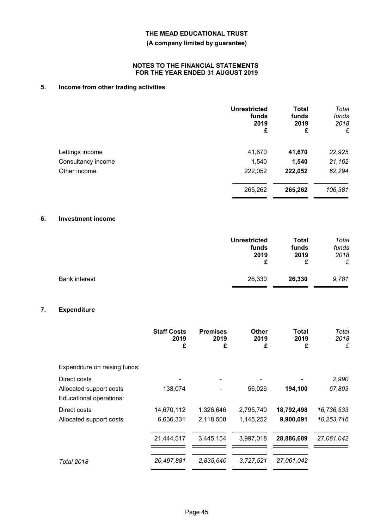### **(A company limited by guarantee)**

#### **NOTES TO THE FINANCIAL STATEMENTS FOR THE YEAR ENDED 31 AUGUST 2019**

# **5. Income from other trading activities**

|                    | <b>Unrestricted</b><br>funds<br>2019<br>£ | <b>Total</b><br>funds<br>2019<br>£ | Total<br>funds<br>2018<br>£ |
|--------------------|-------------------------------------------|------------------------------------|-----------------------------|
| Lettings income    | 41,670                                    | 41,670                             | 22,925                      |
| Consultancy income | 1,540                                     | 1,540                              | 21,162                      |
| Other income       | 222,052                                   | 222,052                            | 62,294                      |
|                    | 265,262                                   | 265,262                            | 106,381                     |

# **6. Investment income**

|                      | <b>Unrestricted</b> | <b>Total</b> | Total |
|----------------------|---------------------|--------------|-------|
|                      | funds               | funds        | funds |
|                      | 2019                | 2019         | 2018  |
|                      | £                   | £            | £     |
| <b>Bank interest</b> | 26,330              | 26,330       | 9,781 |

## **7. Expenditure**

|                                                    | <b>Staff Costs</b><br>2019<br>£ | <b>Premises</b><br>2019<br>£ | Other<br>2019<br>£ | <b>Total</b><br>2019<br>£ | Total<br>2018<br>£ |
|----------------------------------------------------|---------------------------------|------------------------------|--------------------|---------------------------|--------------------|
| Expenditure on raising funds:                      |                                 |                              |                    |                           |                    |
| Direct costs                                       |                                 |                              |                    |                           | 2,990              |
| Allocated support costs<br>Educational operations: | 138,074                         |                              | 56,026             | 194,100                   | 67,803             |
| Direct costs                                       | 14,670,112                      | 1,326,646                    | 2,795,740          | 18,792,498                | 16,736,533         |
| Allocated support costs                            | 6,636,331                       | 2,118,508                    | 1,145,252          | 9,900,091                 | 10,253,716         |
|                                                    | 21,444,517                      | 3,445,154                    | 3,997,018          | 28,886,689                | 27,061,042         |
| <b>Total 2018</b>                                  | 20,497,881                      | 2,835,640                    | 3,727,521          | 27,061,042                |                    |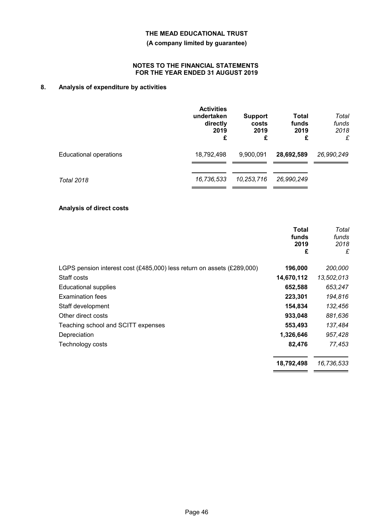### **(A company limited by guarantee)**

#### **NOTES TO THE FINANCIAL STATEMENTS FOR THE YEAR ENDED 31 AUGUST 2019**

# **8. Analysis of expenditure by activities**

|                        | <b>Activities</b><br>undertaken<br>directly<br>2019<br>£ | <b>Support</b><br>costs<br>2019<br>£ | <b>Total</b><br>funds<br>2019<br>£ | Total<br>funds<br>2018<br>£ |
|------------------------|----------------------------------------------------------|--------------------------------------|------------------------------------|-----------------------------|
| Educational operations | 18,792,498                                               | 9,900,091                            | 28,692,589                         | 26,990,249                  |
| <b>Total 2018</b>      | 16,736,533                                               | 10,253,716                           | 26,990,249                         |                             |

#### **Analysis of direct costs**

|                                                                        | <b>Total</b><br>funds<br>2019<br>£ | Total<br>funds<br>2018<br>£ |
|------------------------------------------------------------------------|------------------------------------|-----------------------------|
| LGPS pension interest cost (£485,000) less return on assets (£289,000) | 196,000                            | 200,000                     |
| Staff costs                                                            | 14,670,112                         | 13,502,013                  |
| <b>Educational supplies</b>                                            | 652,588                            | 653,247                     |
| <b>Examination fees</b>                                                | 223,301                            | 194,816                     |
| Staff development                                                      | 154,834                            | 132,456                     |
| Other direct costs                                                     | 933,048                            | 881,636                     |
| Teaching school and SCITT expenses                                     | 553,493                            | 137,484                     |
| Depreciation                                                           | 1,326,646                          | 957,428                     |
| Technology costs                                                       | 82,476                             | 77,453                      |
|                                                                        | 18,792,498                         | 16,736,533                  |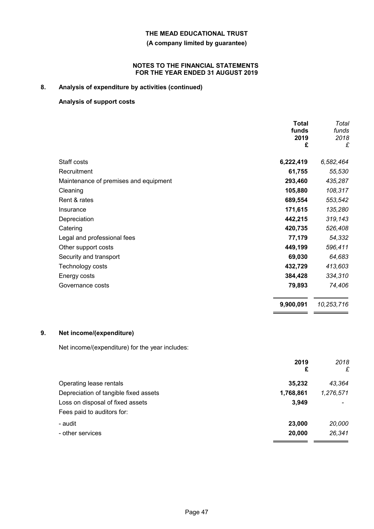### **(A company limited by guarantee)**

#### **NOTES TO THE FINANCIAL STATEMENTS FOR THE YEAR ENDED 31 AUGUST 2019**

# **8. Analysis of expenditure by activities (continued)**

### **Analysis of support costs**

| 6,222,419 | 6,582,464  |
|-----------|------------|
| 61,755    | 55,530     |
| 293,460   | 435,287    |
| 105,880   | 108,317    |
| 689,554   | 553,542    |
| 171,615   | 135,280    |
| 442,215   | 319,143    |
| 420,735   | 526,408    |
| 77,179    | 54,332     |
| 449,199   | 596,411    |
| 69,030    | 64,683     |
| 432,729   | 413,603    |
| 384,428   | 334,310    |
| 79,893    | 74,406     |
| 9,900,091 | 10,253,716 |
|           |            |

### **9. Net income/(expenditure)**

Net income/(expenditure) for the year includes:

|                                       | 2019<br>£ | 2018<br>£ |
|---------------------------------------|-----------|-----------|
| Operating lease rentals               | 35,232    | 43,364    |
| Depreciation of tangible fixed assets | 1,768,861 | 1,276,571 |
| Loss on disposal of fixed assets      | 3,949     |           |
| Fees paid to auditors for:            |           |           |
| - audit                               | 23,000    | 20,000    |
| - other services                      | 20,000    | 26,341    |
|                                       |           |           |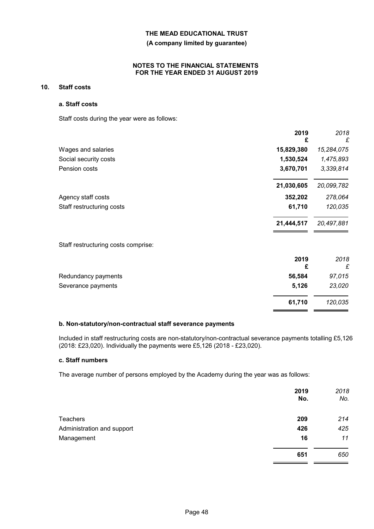#### **(A company limited by guarantee)**

#### **NOTES TO THE FINANCIAL STATEMENTS FOR THE YEAR ENDED 31 AUGUST 2019**

### **10. Staff costs**

#### **a. Staff costs**

Staff costs during the year were as follows:

|                                     | 2019<br>£  | 2018<br>£  |
|-------------------------------------|------------|------------|
| Wages and salaries                  | 15,829,380 | 15,284,075 |
| Social security costs               | 1,530,524  | 1,475,893  |
| Pension costs                       | 3,670,701  | 3,339,814  |
|                                     | 21,030,605 | 20,099,782 |
| Agency staff costs                  | 352,202    | 278,064    |
| Staff restructuring costs           | 61,710     | 120,035    |
|                                     | 21,444,517 | 20,497,881 |
| Staff restructuring costs comprise: |            |            |
|                                     | 2019<br>£  | 2018<br>£  |
| Redundancy payments                 | 56,584     | 97,015     |
| Severance payments                  | 5,126      | 23,020     |
|                                     | 61,710     | 120,035    |

#### **b. Non-statutory/non-contractual staff severance payments**

Included in staff restructuring costs are non-statutory/non-contractual severance payments totalling £5,126 (2018: £23,020). Individually the payments were £5,126 (2018 - £23,020).

 $=$   $=$ 

#### **c. Staff numbers**

The average number of persons employed by the Academy during the year was as follows:

|                            | 2019<br>No. | 2018<br>No. |
|----------------------------|-------------|-------------|
| <b>Teachers</b>            | 209         | 214         |
| Administration and support | 426         | 425         |
| Management                 | 16          | 11          |
|                            | 651         | 650         |
|                            |             |             |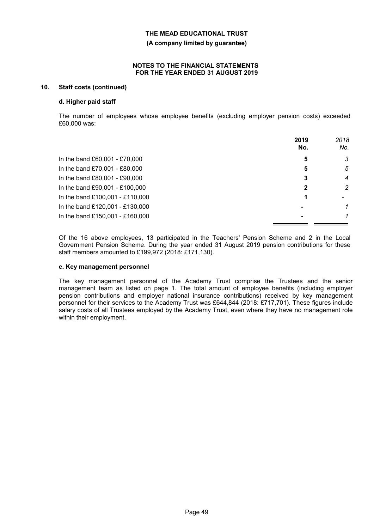**(A company limited by guarantee)**

#### **NOTES TO THE FINANCIAL STATEMENTS FOR THE YEAR ENDED 31 AUGUST 2019**

### **10. Staff costs (continued)**

#### **d. Higher paid staff**

The number of employees whose employee benefits (excluding employer pension costs) exceeded £60,000 was:

|                                 | 2019<br>No.    | 2018<br>No.    |
|---------------------------------|----------------|----------------|
| In the band £60,001 - £70,000   | 5              | 3              |
| In the band £70,001 - £80,000   | 5              | 5              |
| In the band £80,001 - £90,000   | 3              | $\overline{4}$ |
| In the band £90,001 - £100,000  | 2              | $\overline{2}$ |
| In the band £100,001 - £110,000 |                |                |
| In the band £120,001 - £130,000 |                | 1              |
| In the band £150,001 - £160,000 | $\blacksquare$ |                |

Of the 16 above employees, 13 participated in the Teachers' Pension Scheme and 2 in the Local Government Pension Scheme. During the year ended 31 August 2019 pension contributions for these staff members amounted to £199,972 (2018: £171,130).

#### **e. Key management personnel**

The key management personnel of the Academy Trust comprise the Trustees and the senior management team as listed on page 1. The total amount of employee benefits (including employer pension contributions and employer national insurance contributions) received by key management personnel for their services to the Academy Trust was £644,844 (2018: £717,701). These figures include salary costs of all Trustees employed by the Academy Trust, even where they have no management role within their employment.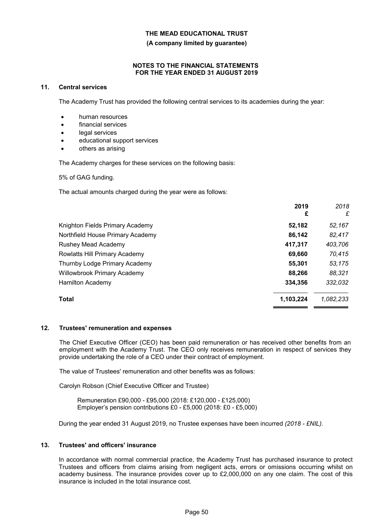**(A company limited by guarantee)**

#### **NOTES TO THE FINANCIAL STATEMENTS FOR THE YEAR ENDED 31 AUGUST 2019**

#### **11. Central services**

The Academy Trust has provided the following central services to its academies during the year:

- human resources
- financial services
- legal services
- educational support services
- others as arising

The Academy charges for these services on the following basis:

5% of GAG funding.

The actual amounts charged during the year were as follows:

|                                    | 2019<br>£ | 2018<br>£ |
|------------------------------------|-----------|-----------|
| Knighton Fields Primary Academy    | 52,182    | 52,167    |
| Northfield House Primary Academy   | 86,142    | 82,417    |
| Rushey Mead Academy                | 417,317   | 403,706   |
| Rowlatts Hill Primary Academy      | 69,660    | 70,415    |
| Thurnby Lodge Primary Academy      | 55,301    | 53,175    |
| <b>Willowbrook Primary Academy</b> | 88,266    | 88,321    |
| Hamilton Academy                   | 334.356   | 332,032   |
| Total                              | 1,103,224 | 1,082,233 |

#### **12. Trustees' remuneration and expenses**

The Chief Executive Officer (CEO) has been paid remuneration or has received other benefits from an employment with the Academy Trust. The CEO only receives remuneration in respect of services they provide undertaking the role of a CEO under their contract of employment.

The value of Trustees' remuneration and other benefits was as follows:

Carolyn Robson (Chief Executive Officer and Trustee)

Remuneration £90,000 - £95,000 (2018: £120,000 - £125,000) Employer's pension contributions £0 - £5,000 (2018: £0 - £5,000)

During the year ended 31 August 2019, no Trustee expenses have been incurred *(2018 - £NIL)*.

#### **13. Trustees' and officers' insurance**

In accordance with normal commercial practice, the Academy Trust has purchased insurance to protect Trustees and officers from claims arising from negligent acts, errors or omissions occurring whilst on academy business. The insurance provides cover up to £2,000,000 on any one claim. The cost of this insurance is included in the total insurance cost.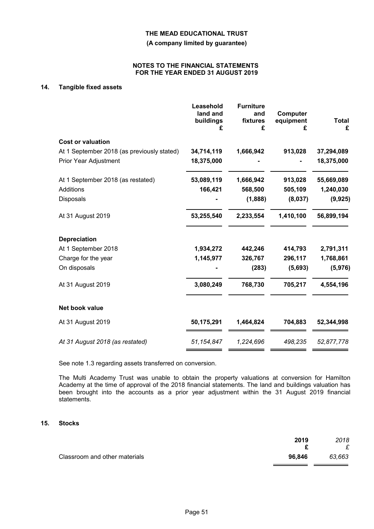**(A company limited by guarantee)**

#### **NOTES TO THE FINANCIAL STATEMENTS FOR THE YEAR ENDED 31 AUGUST 2019**

### **14. Tangible fixed assets**

|                                            | Leasehold<br>land and<br>buildings<br>£ | <b>Furniture</b><br>and<br>fixtures<br>£ | Computer<br>equipment<br>£ | Total<br>£ |
|--------------------------------------------|-----------------------------------------|------------------------------------------|----------------------------|------------|
| <b>Cost or valuation</b>                   |                                         |                                          |                            |            |
| At 1 September 2018 (as previously stated) | 34,714,119                              | 1,666,942                                | 913,028                    | 37,294,089 |
| <b>Prior Year Adjustment</b>               | 18,375,000                              |                                          |                            | 18,375,000 |
| At 1 September 2018 (as restated)          | 53,089,119                              | 1,666,942                                | 913,028                    | 55,669,089 |
| Additions                                  | 166,421                                 | 568,500                                  | 505,109                    | 1,240,030  |
| Disposals                                  |                                         | (1,888)                                  | (8,037)                    | (9, 925)   |
| At 31 August 2019                          | 53,255,540                              | 2,233,554                                | 1,410,100                  | 56,899,194 |
| <b>Depreciation</b>                        |                                         |                                          |                            |            |
| At 1 September 2018                        | 1,934,272                               | 442,246                                  | 414,793                    | 2,791,311  |
| Charge for the year                        | 1,145,977                               | 326,767                                  | 296,117                    | 1,768,861  |
| On disposals                               |                                         | (283)                                    | (5,693)                    | (5,976)    |
| At 31 August 2019                          | 3,080,249                               | 768,730                                  | 705,217                    | 4,554,196  |
| Net book value                             |                                         |                                          |                            |            |
| At 31 August 2019                          | 50,175,291                              | 1,464,824                                | 704,883                    | 52,344,998 |
| At 31 August 2018 (as restated)            | 51, 154, 847                            | 1,224,696                                | 498,235                    | 52,877,778 |

See note 1.3 regarding assets transferred on conversion.

The Multi Academy Trust was unable to obtain the property valuations at conversion for Hamilton Academy at the time of approval of the 2018 financial statements. The land and buildings valuation has been brought into the accounts as a prior year adjustment within the 31 August 2019 financial statements.

### **15. Stocks**

|                               | 2019   | 2018<br>£ |
|-------------------------------|--------|-----------|
| Classroom and other materials | 96.846 | 63.663    |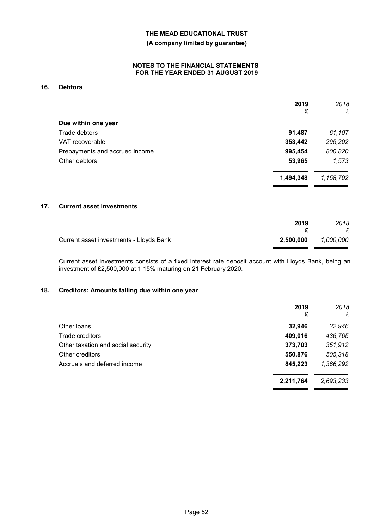### **(A company limited by guarantee)**

### **NOTES TO THE FINANCIAL STATEMENTS FOR THE YEAR ENDED 31 AUGUST 2019**

### **16. Debtors**

|                                | 2019      | 2018      |
|--------------------------------|-----------|-----------|
|                                | £         | £         |
| Due within one year            |           |           |
| Trade debtors                  | 91,487    | 61,107    |
| VAT recoverable                | 353,442   | 295,202   |
| Prepayments and accrued income | 995,454   | 800,820   |
| Other debtors                  | 53,965    | 1,573     |
|                                | 1,494,348 | 1,158,702 |

. .

#### **17. Current asset investments**

|                                         | 2019      | 2018<br>£ |
|-----------------------------------------|-----------|-----------|
| Current asset investments - Lloyds Bank | 2.500.000 | 1,000,000 |

Current asset investments consists of a fixed interest rate deposit account with Lloyds Bank, being an investment of £2,500,000 at 1.15% maturing on 21 February 2020.

#### **18. Creditors: Amounts falling due within one year**

|                                    | 2019<br>£ | 2018<br>£ |
|------------------------------------|-----------|-----------|
| Other loans                        | 32,946    | 32,946    |
| Trade creditors                    | 409,016   | 436,765   |
| Other taxation and social security | 373,703   | 351,912   |
| Other creditors                    | 550,876   | 505,318   |
| Accruals and deferred income       | 845,223   | 1,366,292 |
|                                    | 2,211,764 | 2,693,233 |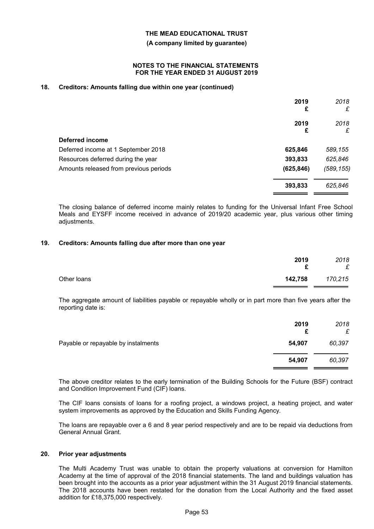#### **(A company limited by guarantee)**

#### **NOTES TO THE FINANCIAL STATEMENTS FOR THE YEAR ENDED 31 AUGUST 2019**

### **18. Creditors: Amounts falling due within one year (continued)**

|                                        | 2019<br>£  | 2018<br>£  |
|----------------------------------------|------------|------------|
|                                        | 2019<br>£  | 2018<br>£  |
| Deferred income                        |            |            |
| Deferred income at 1 September 2018    | 625,846    | 589,155    |
| Resources deferred during the year     | 393,833    | 625,846    |
| Amounts released from previous periods | (625, 846) | (589, 155) |
|                                        | 393,833    | 625,846    |

The closing balance of deferred income mainly relates to funding for the Universal Infant Free School Meals and EYSFF income received in advance of 2019/20 academic year, plus various other timing adjustments.

#### **19. Creditors: Amounts falling due after more than one year**

|             | 2019<br>£ | 2018<br>£ |
|-------------|-----------|-----------|
| Other loans | 142,758   | 170,215   |

The aggregate amount of liabilities payable or repayable wholly or in part more than five years after the reporting date is:

|                                     | 2019<br>£ | 2018<br>£ |
|-------------------------------------|-----------|-----------|
| Payable or repayable by instalments | 54,907    | 60,397    |
|                                     | 54,907    | 60,397    |

The above creditor relates to the early termination of the Building Schools for the Future (BSF) contract and Condition Improvement Fund (CIF) loans.

The CIF loans consists of loans for a roofing project, a windows project, a heating project, and water system improvements as approved by the Education and Skills Funding Agency.

The loans are repayable over a 6 and 8 year period respectively and are to be repaid via deductions from General Annual Grant.

#### **20. Prior year adjustments**

The Multi Academy Trust was unable to obtain the property valuations at conversion for Hamilton Academy at the time of approval of the 2018 financial statements. The land and buildings valuation has been brought into the accounts as a prior year adjustment within the 31 August 2019 financial statements. The 2018 accounts have been restated for the donation from the Local Authority and the fixed asset addition for £18,375,000 respectively.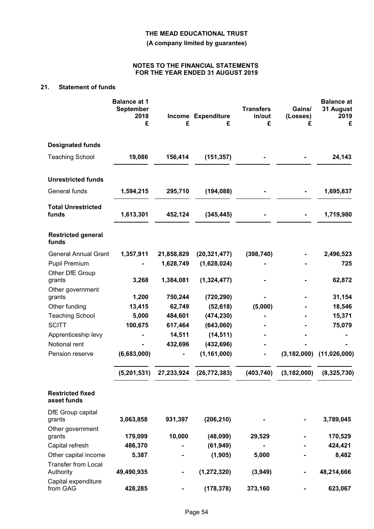**(A company limited by guarantee)**

#### **NOTES TO THE FINANCIAL STATEMENTS FOR THE YEAR ENDED 31 AUGUST 2019**

## **21. Statement of funds**

|                                                 | <b>Balance at 1</b><br><b>September</b><br>2018<br>£ | £          | Income Expenditure<br>£ | <b>Transfers</b><br>in/out<br>£ | Gains/<br>(Losses)<br>£ | <b>Balance at</b><br>31 August<br>2019<br>£ |
|-------------------------------------------------|------------------------------------------------------|------------|-------------------------|---------------------------------|-------------------------|---------------------------------------------|
| <b>Designated funds</b>                         |                                                      |            |                         |                                 |                         |                                             |
| <b>Teaching School</b>                          | 19,086                                               | 156,414    | (151, 357)              |                                 |                         | 24,143                                      |
| <b>Unrestricted funds</b>                       |                                                      |            |                         |                                 |                         |                                             |
| General funds                                   | 1,594,215                                            | 295,710    | (194, 088)              |                                 |                         | 1,695,837                                   |
| <b>Total Unrestricted</b><br>funds              | 1,613,301                                            | 452,124    | (345, 445)              |                                 |                         | 1,719,980                                   |
| <b>Restricted general</b><br>funds              |                                                      |            |                         |                                 |                         |                                             |
| <b>General Annual Grant</b>                     | 1,357,911                                            | 21,858,829 | (20, 321, 477)          | (398, 740)                      |                         | 2,496,523                                   |
| <b>Pupil Premium</b>                            |                                                      | 1,628,749  | (1,628,024)             |                                 |                         | 725                                         |
| Other DfE Group<br>grants                       | 3,268                                                | 1,384,081  | (1, 324, 477)           |                                 |                         | 62,872                                      |
| Other government<br>grants                      | 1,200                                                | 750,244    | (720, 290)              |                                 |                         | 31,154                                      |
| Other funding                                   | 13,415                                               | 62,749     | (52, 618)               | (5,000)                         |                         | 18,546                                      |
| <b>Teaching School</b>                          | 5,000                                                | 484,601    | (474, 230)              |                                 |                         | 15,371                                      |
| <b>SCITT</b>                                    | 100,675                                              | 617,464    | (643,060)               |                                 |                         | 75,079                                      |
| Apprenticeship levy                             |                                                      | 14,511     | (14, 511)               |                                 |                         |                                             |
| Notional rent                                   |                                                      | 432,696    | (432, 696)              |                                 |                         |                                             |
| Pension reserve                                 | (6,683,000)                                          | -          | (1, 161, 000)           | -                               | (3, 182, 000)           | (11,026,000)                                |
|                                                 | (5,201,531)                                          | 27,233,924 | (26, 772, 383)          | (403, 740)                      | (3, 182, 000)           | (8,325,730)                                 |
| <b>Restricted fixed</b><br>asset funds          |                                                      |            |                         |                                 |                         |                                             |
| DfE Group capital<br>grants<br>Other government | 3,063,858                                            | 931,397    | (206, 210)              |                                 |                         | 3,789,045                                   |
| grants                                          | 179,099                                              | 10,000     | (48,099)                | 29,529                          |                         | 170,529                                     |
| Capital refresh                                 | 486,370                                              |            | (61, 949)               |                                 |                         | 424,421                                     |
| Other capital income                            | 5,387                                                |            | (1, 905)                | 5,000                           |                         | 8,482                                       |
| <b>Transfer from Local</b><br>Authority         | 49,490,935                                           |            | (1, 272, 320)           | (3,949)                         |                         | 48,214,666                                  |
| Capital expenditure<br>from GAG                 | 428,285                                              |            | (178, 378)              | 373,160                         |                         | 623,067                                     |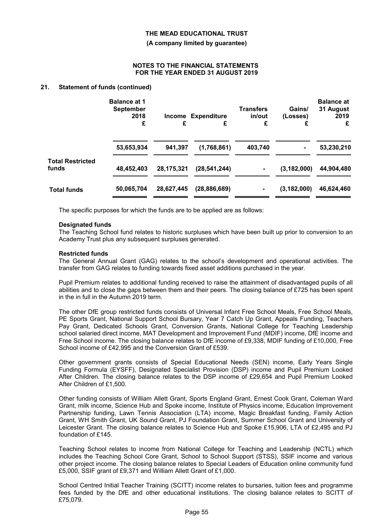#### **(A company limited by guarantee)**

#### **NOTES TO THE FINANCIAL STATEMENTS FOR THE YEAR ENDED 31 AUGUST 2019**

#### **21. Statement of funds (continued)**

|                                  | <b>Balance at 1</b><br><b>September</b><br>2018<br>Income<br>£ |            | <b>Expenditure</b><br>£ | <b>Transfers</b><br>in/out<br>£ | Gains/<br>(Losses)<br>£ | <b>Balance at</b><br>31 August<br>2019<br>£ |
|----------------------------------|----------------------------------------------------------------|------------|-------------------------|---------------------------------|-------------------------|---------------------------------------------|
|                                  | 53,653,934                                                     | 941,397    | (1,768,861)             | 403,740                         |                         | 53,230,210                                  |
| <b>Total Restricted</b><br>funds | 48,452,403                                                     | 28,175,321 | (28, 541, 244)          | $\blacksquare$                  | (3, 182, 000)           | 44,904,480                                  |
| <b>Total funds</b>               | 50,065,704                                                     | 28,627,445 | (28, 886, 689)          | ۰                               | (3, 182, 000)           | 46,624,460                                  |

The specific purposes for which the funds are to be applied are as follows:

#### **Designated funds**

The Teaching School fund relates to historic surpluses which have been built up prior to conversion to an Academy Trust plus any subsequent surpluses generated.

#### **Restricted funds**

The General Annual Grant (GAG) relates to the school's development and operational activities. The transfer from GAG relates to funding towards fixed asset additions purchased in the year.

Pupil Premium relates to additional funding received to raise the attainment of disadvantaged pupils of all abilities and to close the gaps between them and their peers. The closing balance of £725 has been spent in the in full in the Autumn 2019 term.

The other DfE group restricted funds consists of Universal Infant Free School Meals, Free School Meals, PE Sports Grant, National Support School Bursary, Year 7 Catch Up Grant, Appeals Funding, Teachers Pay Grant, Dedicated Schools Grant, Conversion Grants, National College for Teaching Leadership school salaried direct income, MAT Development and Improvement Fund (MDIF) income, DfE income and Free School income. The closing balance relates to DfE income of £9,338, MDIF funding of £10,000, Free School income of £42,995 and the Conversion Grant of £539.

Other government grants consists of Special Educational Needs (SEN) income, Early Years Single Funding Formula (EYSFF), Designated Specialist Provision (DSP) income and Pupil Premium Looked After Children. The closing balance relates to the DSP income of £29,654 and Pupil Premium Looked After Children of £1,500.

Other funding consists of William Allett Grant, Sports England Grant, Ernest Cook Grant, Coleman Ward Grant, milk income, Science Hub and Spoke income, Institute of Physics income, Education Improvement Partnership funding, Lawn Tennis Association (LTA) income, Magic Breakfast funding, Family Action Grant, WH Smith Grant, UK Sound Grant, PJ Foundation Grant, Summer School Grant and University of Leicester Grant. The closing balance relates to Science Hub and Spoke £15,906, LTA of £2,495 and PJ foundation of £145.

Teaching School relates to income from National College for Teaching and Leadership (NCTL) which includes the Teaching School Core Grant, School to School Support (STSS), SSIF income and various other project income. The closing balance relates to Special Leaders of Education online community fund £5,000, SSIF grant of £9,371 and William Allett Grant of £1,000.

School Centred Initial Teacher Training (SCITT) income relates to bursaries, tuition fees and programme fees funded by the DfE and other educational institutions. The closing balance relates to SCITT of £75,079.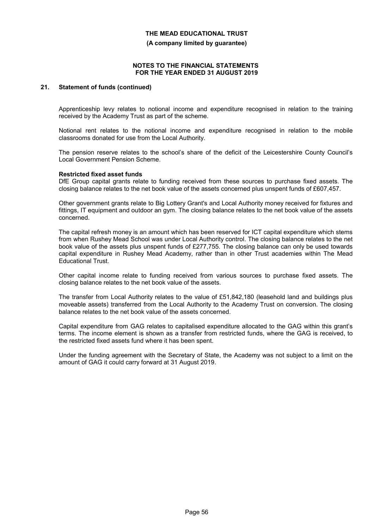**(A company limited by guarantee)**

#### **NOTES TO THE FINANCIAL STATEMENTS FOR THE YEAR ENDED 31 AUGUST 2019**

### **21. Statement of funds (continued)**

Apprenticeship levy relates to notional income and expenditure recognised in relation to the training received by the Academy Trust as part of the scheme.

Notional rent relates to the notional income and expenditure recognised in relation to the mobile classrooms donated for use from the Local Authority.

The pension reserve relates to the school's share of the deficit of the Leicestershire County Council's Local Government Pension Scheme.

#### **Restricted fixed asset funds**

DfE Group capital grants relate to funding received from these sources to purchase fixed assets. The closing balance relates to the net book value of the assets concerned plus unspent funds of £607,457.

Other government grants relate to Big Lottery Grant's and Local Authority money received for fixtures and fittings, IT equipment and outdoor an gym. The closing balance relates to the net book value of the assets concerned.

The capital refresh money is an amount which has been reserved for ICT capital expenditure which stems from when Rushey Mead School was under Local Authority control. The closing balance relates to the net book value of the assets plus unspent funds of £277,755. The closing balance can only be used towards capital expenditure in Rushey Mead Academy, rather than in other Trust academies within The Mead Educational Trust.

Other capital income relate to funding received from various sources to purchase fixed assets. The closing balance relates to the net book value of the assets.

The transfer from Local Authority relates to the value of £51,842,180 (leasehold land and buildings plus moveable assets) transferred from the Local Authority to the Academy Trust on conversion. The closing balance relates to the net book value of the assets concerned.

Capital expenditure from GAG relates to capitalised expenditure allocated to the GAG within this grant's terms. The income element is shown as a transfer from restricted funds, where the GAG is received, to the restricted fixed assets fund where it has been spent.

Under the funding agreement with the Secretary of State, the Academy was not subject to a limit on the amount of GAG it could carry forward at 31 August 2019.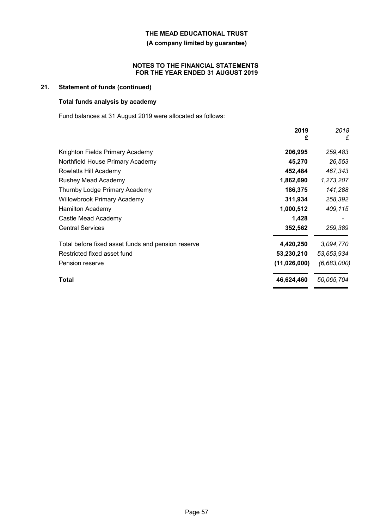### **(A company limited by guarantee)**

#### **NOTES TO THE FINANCIAL STATEMENTS FOR THE YEAR ENDED 31 AUGUST 2019**

### **21. Statement of funds (continued)**

### **Total funds analysis by academy**

Fund balances at 31 August 2019 were allocated as follows:

|                                                    | 2019<br>£    | 2018<br>£   |
|----------------------------------------------------|--------------|-------------|
| Knighton Fields Primary Academy                    | 206,995      | 259,483     |
| Northfield House Primary Academy                   | 45,270       | 26,553      |
| Rowlatts Hill Academy                              | 452,484      | 467,343     |
| <b>Rushey Mead Academy</b>                         | 1,862,690    | 1,273,207   |
| Thurnby Lodge Primary Academy                      | 186,375      | 141,288     |
| <b>Willowbrook Primary Academy</b>                 | 311,934      | 258,392     |
| <b>Hamilton Academy</b>                            | 1,000,512    | 409,115     |
| Castle Mead Academy                                | 1,428        |             |
| <b>Central Services</b>                            | 352,562      | 259,389     |
| Total before fixed asset funds and pension reserve | 4,420,250    | 3,094,770   |
| Restricted fixed asset fund                        | 53,230,210   | 53,653,934  |
| Pension reserve                                    | (11,026,000) | (6,683,000) |
| Total                                              | 46,624,460   | 50,065,704  |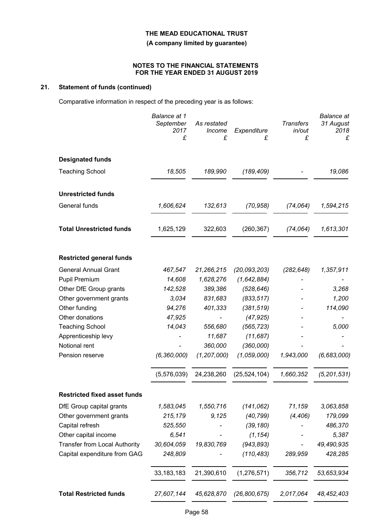### **(A company limited by guarantee)**

#### **NOTES TO THE FINANCIAL STATEMENTS FOR THE YEAR ENDED 31 AUGUST 2019**

### **21. Statement of funds (continued)**

Comparative information in respect of the preceding year is as follows:

|                                      | Balance at 1<br>September<br>2017<br>£ | As restated<br>Income<br>£ | Expenditure<br>£         | <b>Transfers</b><br>in/out<br>£ | <b>Balance</b> at<br>31 August<br>2018<br>£ |
|--------------------------------------|----------------------------------------|----------------------------|--------------------------|---------------------------------|---------------------------------------------|
| <b>Designated funds</b>              |                                        |                            |                          |                                 |                                             |
| <b>Teaching School</b>               | 18,505                                 | 189,990                    | (189, 409)               |                                 | 19,086                                      |
| <b>Unrestricted funds</b>            |                                        |                            |                          |                                 |                                             |
| General funds                        | 1,606,624                              | 132,613                    | (70, 958)                | (74, 064)                       | 1,594,215                                   |
| <b>Total Unrestricted funds</b>      | 1,625,129                              | 322,603                    | (260, 367)               | (74, 064)                       | 1,613,301                                   |
| <b>Restricted general funds</b>      |                                        |                            |                          |                                 |                                             |
| <b>General Annual Grant</b>          | 467,547                                | 21,266,215                 | (20,093,203)             | (282, 648)                      | 1,357,911                                   |
| <b>Pupil Premium</b>                 | 14,608                                 | 1,628,276                  | (1,642,884)              |                                 |                                             |
| Other DfE Group grants               | 142,528                                | 389,386                    | (528, 646)               |                                 | 3,268                                       |
| Other government grants              | 3,034                                  | 831,683                    | (833, 517)               |                                 | 1,200                                       |
| Other funding                        | 94,276                                 | 401,333                    | (381, 519)               |                                 | 114,090                                     |
| Other donations                      | 47,925                                 |                            | (47, 925)                |                                 |                                             |
| <b>Teaching School</b>               | 14,043                                 | 556,680                    | (565, 723)               |                                 | 5,000                                       |
| Apprenticeship levy                  |                                        | 11,687                     | (11, 687)                |                                 |                                             |
| Notional rent<br>Pension reserve     |                                        | 360,000<br>(1, 207, 000)   | (360,000)<br>(1,059,000) | 1,943,000                       | (6,683,000)                                 |
|                                      | (6, 360, 000)                          |                            |                          |                                 |                                             |
|                                      | (5,576,039)                            | 24,238,260                 | (25, 524, 104)           | 1,660,352                       | (5, 201, 531)                               |
| <b>Restricted fixed asset funds</b>  |                                        |                            |                          |                                 |                                             |
| DfE Group capital grants             | 1,583,045                              | 1,550,716                  | (141, 062)               | 71,159                          | 3,063,858                                   |
| Other government grants              | 215,179                                | 9,125                      | (40, 799)                | (4, 406)                        | 179,099                                     |
| Capital refresh                      | 525,550                                |                            | (39, 180)                |                                 | 486,370                                     |
| Other capital income                 | 6,541                                  |                            | (1, 154)                 |                                 | 5,387                                       |
| <b>Transfer from Local Authority</b> | 30,604,059                             | 19,830,769                 | (943, 893)               |                                 | 49,490,935                                  |
| Capital expenditure from GAG         | 248,809                                |                            | (110, 483)               | 289,959                         | 428,285                                     |
|                                      | 33, 183, 183                           | 21,390,610                 | (1, 276, 571)            | 356,712                         | 53,653,934                                  |
| <b>Total Restricted funds</b>        | 27,607,144                             | 45,628,870                 | (26, 800, 675)           | 2,017,064                       | 48,452,403                                  |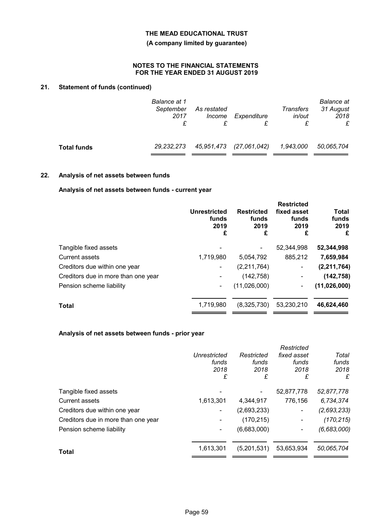### **(A company limited by guarantee)**

#### **NOTES TO THE FINANCIAL STATEMENTS FOR THE YEAR ENDED 31 AUGUST 2019**

## **21. Statement of funds (continued)**

|                    | Balance at 1<br>September<br>2017<br>£ | As restated<br>Income | Expenditure             | Transfers<br>in/out<br>£ | <b>Balance</b> at<br>31 August<br>2018<br>£ |
|--------------------|----------------------------------------|-----------------------|-------------------------|--------------------------|---------------------------------------------|
| <b>Total funds</b> | 29, 232, 273                           |                       | 45,951,473 (27,061,042) | 1,943,000                | 50,065,704                                  |

### **22. Analysis of net assets between funds**

### **Analysis of net assets between funds - current year**

|                                     | <b>Unrestricted</b><br>funds<br>2019<br>£ | <b>Restricted</b><br>funds<br>2019<br>£ | <b>Restricted</b><br>fixed asset<br>funds<br>2019<br>£ | <b>Total</b><br>funds<br>2019<br>£ |
|-------------------------------------|-------------------------------------------|-----------------------------------------|--------------------------------------------------------|------------------------------------|
| Tangible fixed assets               |                                           |                                         | 52,344,998                                             | 52,344,998                         |
| Current assets                      | 1,719,980                                 | 5,054,792                               | 885,212                                                | 7,659,984                          |
| Creditors due within one year       |                                           | (2,211,764)                             | $\blacksquare$                                         | (2, 211, 764)                      |
| Creditors due in more than one year |                                           | (142, 758)                              | ٠                                                      | (142, 758)                         |
| Pension scheme liability            |                                           | (11,026,000)                            | ۰                                                      | (11,026,000)                       |
| <b>Total</b>                        | 1,719,980                                 | (8,325,730)                             | 53,230,210                                             | 46,624,460                         |
|                                     |                                           |                                         |                                                        |                                    |

### **Analysis of net assets between funds - prior year**

|                                     |              |             | Restricted  |             |
|-------------------------------------|--------------|-------------|-------------|-------------|
|                                     | Unrestricted | Restricted  | fixed asset | Total       |
|                                     | funds        | funds       | funds       | funds       |
|                                     | 2018         | 2018        | 2018        | 2018        |
|                                     | £            | £           | £           | £           |
| Tangible fixed assets               |              |             | 52,877,778  | 52,877,778  |
| <b>Current assets</b>               | 1,613,301    | 4,344,917   | 776,156     | 6,734,374   |
| Creditors due within one year       | ۰            | (2,693,233) | ۰           | (2,693,233) |
| Creditors due in more than one year |              | (170, 215)  | ۰           | (170, 215)  |
| Pension scheme liability            | -            | (6,683,000) |             | (6,683,000) |
| Total                               | 1,613,301    | (5,201,531) | 53,653,934  | 50,065,704  |
|                                     |              |             |             |             |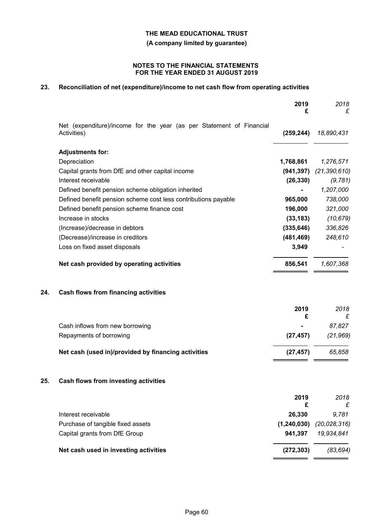**(A company limited by guarantee)**

#### **NOTES TO THE FINANCIAL STATEMENTS FOR THE YEAR ENDED 31 AUGUST 2019**

## **23. Reconciliation of net (expenditure)/income to net cash flow from operating activities**

|     |                                                                                     | 2019<br>£     | 2018<br>£      |
|-----|-------------------------------------------------------------------------------------|---------------|----------------|
|     | Net (expenditure)/income for the year (as per Statement of Financial<br>Activities) | (259, 244)    | 18,890,431     |
|     | <b>Adjustments for:</b>                                                             |               |                |
|     | Depreciation                                                                        | 1,768,861     | 1,276,571      |
|     | Capital grants from DfE and other capital income                                    | (941, 397)    | (21, 390, 610) |
|     | Interest receivable                                                                 | (26, 330)     | (9, 781)       |
|     | Defined benefit pension scheme obligation inherited                                 |               | 1,207,000      |
|     | Defined benefit pension scheme cost less contributions payable                      | 965,000       | 738,000        |
|     | Defined benefit pension scheme finance cost                                         | 196,000       | 321,000        |
|     | Increase in stocks                                                                  | (33, 183)     | (10, 679)      |
|     | (Increase)/decrease in debtors                                                      | (335, 646)    | 336,826        |
|     | (Decrease)/increase in creditors                                                    | (481, 469)    | 248,610        |
|     | Loss on fixed asset disposals                                                       | 3,949         |                |
|     | Net cash provided by operating activities                                           | 856,541       | 1,607,368      |
| 24. | <b>Cash flows from financing activities</b>                                         |               |                |
|     |                                                                                     | 2019          | 2018           |
|     |                                                                                     | £             | £              |
|     | Cash inflows from new borrowing                                                     |               | 87,827         |
|     | Repayments of borrowing                                                             | (27, 457)     | (21, 969)      |
|     | Net cash (used in)/provided by financing activities                                 | (27, 457)     | 65,858         |
| 25. | Cash flows from investing activities                                                |               |                |
|     |                                                                                     | 2019<br>£     | 2018           |
|     | Interest receivable                                                                 | 26,330        | 9,781          |
|     | Purchase of tangible fixed assets                                                   | (1, 240, 030) | (20, 028, 316) |
|     | Capital grants from DfE Group                                                       | 941,397       | 19,934,841     |
|     | Net cash used in investing activities                                               | (272, 303)    | (83, 694)      |
|     |                                                                                     |               |                |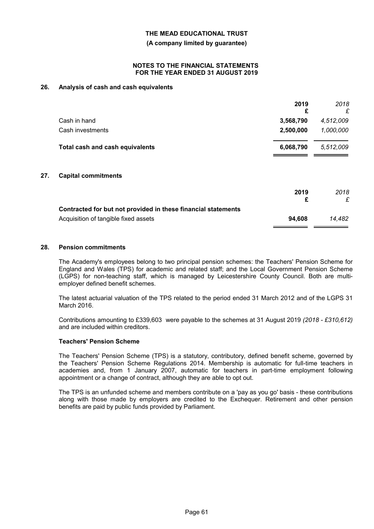**(A company limited by guarantee)**

#### **NOTES TO THE FINANCIAL STATEMENTS FOR THE YEAR ENDED 31 AUGUST 2019**

### **26. Analysis of cash and cash equivalents**

|     |                                 | 2019<br>£            | 2018<br>£ |
|-----|---------------------------------|----------------------|-----------|
|     | Cash in hand                    | 3,568,790            | 4,512,009 |
|     | Cash investments                | 2,500,000            | 1,000,000 |
|     | Total cash and cash equivalents | 6,068,790            | 5,512,009 |
| 27. | <b>Capital commitments</b>      |                      |           |
|     |                                 | $\sum_{n=1}^{n} a_n$ | 0010      |

|                                                               | 2019   | 2018.  |
|---------------------------------------------------------------|--------|--------|
| Contracted for but not provided in these financial statements |        |        |
| Acquisition of tangible fixed assets                          | 94.608 | 14.482 |

#### **28. Pension commitments**

The Academy's employees belong to two principal pension schemes: the Teachers' Pension Scheme for England and Wales (TPS) for academic and related staff; and the Local Government Pension Scheme (LGPS) for non-teaching staff, which is managed by Leicestershire County Council. Both are multiemployer defined benefit schemes.

The latest actuarial valuation of the TPS related to the period ended 31 March 2012 and of the LGPS 31 March 2016.

Contributions amounting to £339,603 were payable to the schemes at 31 August 2019 *(2018 - £310,612)* and are included within creditors.

#### **Teachers' Pension Scheme**

The Teachers' Pension Scheme (TPS) is a statutory, contributory, defined benefit scheme, governed by the Teachers' Pension Scheme Regulations 2014. Membership is automatic for full-time teachers in academies and, from 1 January 2007, automatic for teachers in part-time employment following appointment or a change of contract, although they are able to opt out.

The TPS is an unfunded scheme and members contribute on a 'pay as you go' basis - these contributions along with those made by employers are credited to the Exchequer. Retirement and other pension benefits are paid by public funds provided by Parliament.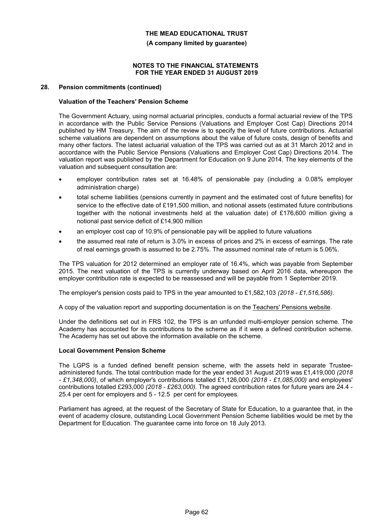**(A company limited by guarantee)**

#### **NOTES TO THE FINANCIAL STATEMENTS FOR THE YEAR ENDED 31 AUGUST 2019**

#### **28. Pension commitments (continued)**

#### **Valuation of the Teachers' Pension Scheme**

The Government Actuary, using normal actuarial principles, conducts a formal actuarial review of the TPS in accordance with the Public Service Pensions (Valuations and Employer Cost Cap) Directions 2014 published by HM Treasury. The aim of the review is to specify the level of future contributions. Actuarial scheme valuations are dependent on assumptions about the value of future costs, design of benefits and many other factors. The latest actuarial valuation of the TPS was carried out as at 31 March 2012 and in accordance with the Public Service Pensions (Valuations and Employer Cost Cap) Directions 2014. The valuation report was published by the Department for Education on 9 June 2014. The key elements of the valuation and subsequent consultation are:

- employer contribution rates set at 16.48% of pensionable pay (including a 0.08% employer administration charge)
- total scheme liabilities (pensions currently in payment and the estimated cost of future benefits) for service to the effective date of £191,500 million, and notional assets (estimated future contributions together with the notional investments held at the valuation date) of £176,600 million giving a notional past service deficit of £14,900 million
- an employer cost cap of 10.9% of pensionable pay will be applied to future valuations
- the assumed real rate of return is 3.0% in excess of prices and 2% in excess of earnings. The rate of real earnings growth is assumed to be 2.75%. The assumed nominal rate of return is 5.06%.

The TPS valuation for 2012 determined an employer rate of 16.4%, which was payable from September 2015. The next valuation of the TPS is currently underway based on April 2016 data, whereupon the employer contribution rate is expected to be reassessed and will be payable from 1 September 2019.

The employer's pension costs paid to TPS in the year amounted to £1,582,103 *(2018 - £1,516,586)*.

A copy of the valuation report and supporting documentation is on the Teachers' Pensions website.

Under the definitions set out in FRS 102, the TPS is an unfunded multi-employer pension scheme. The Academy has accounted for its contributions to the scheme as if it were a defined contribution scheme. The Academy has set out above the information available on the scheme.

#### **Local Government Pension Scheme**

The LGPS is a funded defined benefit pension scheme, with the assets held in separate Trusteeadministered funds. The total contribution made for the year ended 31 August 2019 was £1,419,000 *(2018 - £1,348,000)*, of which employer's contributions totalled £1,126,000 *(2018 - £1,085,000)* and employees' contributions totalled £293,000 *(2018 - £263,000)*. The agreed contribution rates for future years are 24.4 - 25.4 per cent for employers and 5 - 12.5 per cent for employees.

Parliament has agreed, at the request of the Secretary of State for Education, to a guarantee that, in the event of academy closure, outstanding Local Government Pension Scheme liabilities would be met by the Department for Education. The guarantee came into force on 18 July 2013.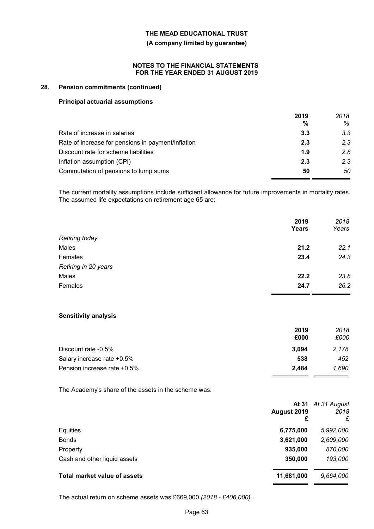#### **(A company limited by guarantee)**

#### **NOTES TO THE FINANCIAL STATEMENTS FOR THE YEAR ENDED 31 AUGUST 2019**

#### **28. Pension commitments (continued)**

#### **Principal actuarial assumptions**

|                                                    | 2019<br>% | 2018<br>% |
|----------------------------------------------------|-----------|-----------|
| Rate of increase in salaries                       | 3.3       | 3.3       |
| Rate of increase for pensions in payment/inflation | 2.3       | 2.3       |
| Discount rate for scheme liabilities               | 1.9       | 2.8       |
| Inflation assumption (CPI)                         | 2.3       | 2.3       |
| Commutation of pensions to lump sums               | 50        | 50        |

The current mortality assumptions include sufficient allowance for future improvements in mortality rates. The assumed life expectations on retirement age 65 are:

|                       | 2019<br>Years | 2018<br>Years |
|-----------------------|---------------|---------------|
| <b>Retiring today</b> |               |               |
| Males                 | 21.2          | 22.1          |
| Females               | 23.4          | 24.3          |
| Retiring in 20 years  |               |               |
| Males                 | 22.2          | 23.8          |
| Females               | 24.7          | 26.2          |
|                       |               |               |

#### **Sensitivity analysis**

|                             | 2019  | 2018  |
|-----------------------------|-------|-------|
|                             | £000  | £000  |
| Discount rate -0.5%         | 3.094 | 2,178 |
| Salary increase rate +0.5%  | 538   | 452   |
| Pension increase rate +0.5% | 2.484 | 1.690 |

The Academy's share of the assets in the scheme was:

|                                     | August 2019<br>£ | At 31 At 31 August<br>2018<br>£ |
|-------------------------------------|------------------|---------------------------------|
| Equities                            | 6,775,000        | 5,992,000                       |
| <b>Bonds</b>                        | 3,621,000        | 2,609,000                       |
| Property                            | 935,000          | 870,000                         |
| Cash and other liquid assets        | 350,000          | 193,000                         |
| <b>Total market value of assets</b> | 11,681,000       | 9,664,000                       |
|                                     |                  |                                 |

The actual return on scheme assets was £669,000 *(2018 - £406,000)*.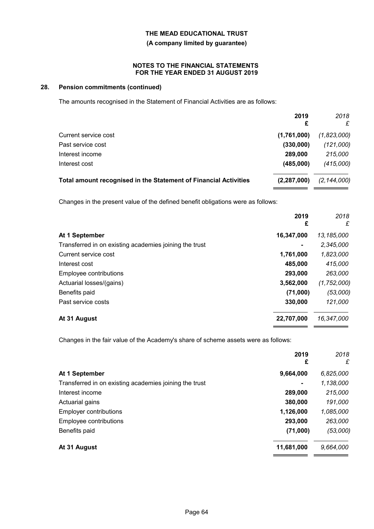#### **(A company limited by guarantee)**

#### **NOTES TO THE FINANCIAL STATEMENTS FOR THE YEAR ENDED 31 AUGUST 2019**

### **28. Pension commitments (continued)**

The amounts recognised in the Statement of Financial Activities are as follows:

|                                                                  | 2019<br>£     | 2018<br>£     |
|------------------------------------------------------------------|---------------|---------------|
| Current service cost                                             | (1,761,000)   | (1,823,000)   |
| Past service cost                                                | (330,000)     | (121,000)     |
| Interest income                                                  | 289,000       | 215,000       |
| Interest cost                                                    | (485,000)     | (415,000)     |
| Total amount recognised in the Statement of Financial Activities | (2, 287, 000) | (2, 144, 000) |
|                                                                  |               |               |

Changes in the present value of the defined benefit obligations were as follows:

|                                                        | 2019<br>£      | 2018<br>£     |
|--------------------------------------------------------|----------------|---------------|
| At 1 September                                         | 16,347,000     | 13,185,000    |
| Transferred in on existing academies joining the trust | $\blacksquare$ | 2,345,000     |
| Current service cost                                   | 1,761,000      | 1,823,000     |
| Interest cost                                          | 485,000        | 415,000       |
| Employee contributions                                 | 293,000        | 263,000       |
| Actuarial losses/(gains)                               | 3,562,000      | (1, 752, 000) |
| Benefits paid                                          | (71,000)       | (53,000)      |
| Past service costs                                     | 330,000        | 121,000       |
| At 31 August                                           | 22,707,000     | 16,347,000    |

Changes in the fair value of the Academy's share of scheme assets were as follows:

|                                                        | 2019<br>£      | 2018<br>£ |
|--------------------------------------------------------|----------------|-----------|
| At 1 September                                         | 9,664,000      | 6,825,000 |
| Transferred in on existing academies joining the trust | $\blacksquare$ | 1,138,000 |
| Interest income                                        | 289,000        | 215,000   |
| Actuarial gains                                        | 380,000        | 191,000   |
| <b>Employer contributions</b>                          | 1,126,000      | 1,085,000 |
| Employee contributions                                 | 293,000        | 263,000   |
| Benefits paid                                          | (71,000)       | (53,000)  |
| At 31 August                                           | 11,681,000     | 9,664,000 |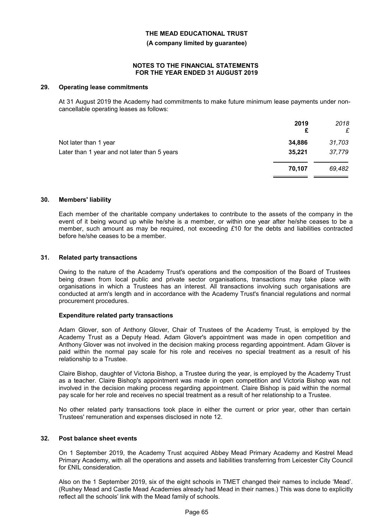**(A company limited by guarantee)**

#### **NOTES TO THE FINANCIAL STATEMENTS FOR THE YEAR ENDED 31 AUGUST 2019**

#### **29. Operating lease commitments**

At 31 August 2019 the Academy had commitments to make future minimum lease payments under noncancellable operating leases as follows:

|                                              | 2019<br>£ | 2018<br>£ |
|----------------------------------------------|-----------|-----------|
| Not later than 1 year                        | 34,886    | 31,703    |
| Later than 1 year and not later than 5 years | 35,221    | 37,779    |
|                                              | 70.107    | 69,482    |
|                                              |           |           |

#### **30. Members' liability**

Each member of the charitable company undertakes to contribute to the assets of the company in the event of it being wound up while he/she is a member, or within one year after he/she ceases to be a member, such amount as may be required, not exceeding *£*10 for the debts and liabilities contracted before he/she ceases to be a member.

### **31. Related party transactions**

Owing to the nature of the Academy Trust's operations and the composition of the Board of Trustees being drawn from local public and private sector organisations, transactions may take place with organisations in which a Trustees has an interest. All transactions involving such organisations are conducted at arm's length and in accordance with the Academy Trust's financial regulations and normal procurement procedures.

#### **Expenditure related party transactions**

Adam Glover, son of Anthony Glover, Chair of Trustees of the Academy Trust, is employed by the Academy Trust as a Deputy Head. Adam Glover's appointment was made in open competition and Anthony Glover was not involved in the decision making process regarding appointment. Adam Glover is paid within the normal pay scale for his role and receives no special treatment as a result of his relationship to a Trustee.

Claire Bishop, daughter of Victoria Bishop, a Trustee during the year, is employed by the Academy Trust as a teacher. Claire Bishop's appointment was made in open competition and Victoria Bishop was not involved in the decision making process regarding appointment. Claire Bishop is paid within the normal pay scale for her role and receives no special treatment as a result of her relationship to a Trustee.

No other related party transactions took place in either the current or prior year, other than certain Trustees' remuneration and expenses disclosed in note 12.

#### **32. Post balance sheet events**

On 1 September 2019, the Academy Trust acquired Abbey Mead Primary Academy and Kestrel Mead Primary Academy, with all the operations and assets and liabilities transferring from Leicester City Council for £NIL consideration.

Also on the 1 September 2019, six of the eight schools in TMET changed their names to include 'Mead'. (Rushey Mead and Castle Mead Academies already had Mead in their names.) This was done to explicitly reflect all the schools' link with the Mead family of schools.